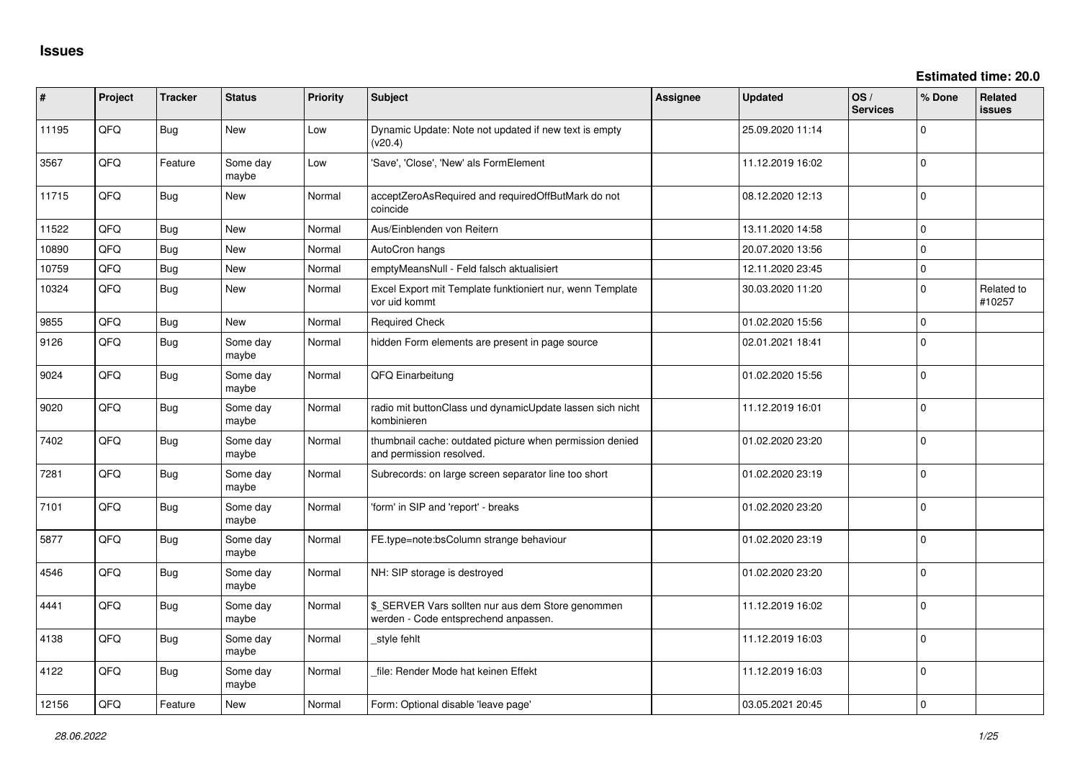**Estimated time: 20.0**

| #     | Project | <b>Tracker</b> | <b>Status</b>     | Priority | Subject                                                                                   | Assignee | <b>Updated</b>   | OS/<br><b>Services</b> | % Done         | Related<br>issues    |
|-------|---------|----------------|-------------------|----------|-------------------------------------------------------------------------------------------|----------|------------------|------------------------|----------------|----------------------|
| 11195 | QFQ     | Bug            | New               | Low      | Dynamic Update: Note not updated if new text is empty<br>(v20.4)                          |          | 25.09.2020 11:14 |                        | $\Omega$       |                      |
| 3567  | QFQ     | Feature        | Some day<br>maybe | Low      | 'Save', 'Close', 'New' als FormElement                                                    |          | 11.12.2019 16:02 |                        | $\mathbf 0$    |                      |
| 11715 | QFQ     | Bug            | New               | Normal   | acceptZeroAsRequired and requiredOffButMark do not<br>coincide                            |          | 08.12.2020 12:13 |                        | $\Omega$       |                      |
| 11522 | QFQ     | <b>Bug</b>     | New               | Normal   | Aus/Einblenden von Reitern                                                                |          | 13.11.2020 14:58 |                        | $\mathbf 0$    |                      |
| 10890 | QFQ     | <b>Bug</b>     | <b>New</b>        | Normal   | AutoCron hangs                                                                            |          | 20.07.2020 13:56 |                        | $\Omega$       |                      |
| 10759 | QFQ     | Bug            | New               | Normal   | emptyMeansNull - Feld falsch aktualisiert                                                 |          | 12.11.2020 23:45 |                        | $\Omega$       |                      |
| 10324 | QFQ     | <b>Bug</b>     | New               | Normal   | Excel Export mit Template funktioniert nur, wenn Template<br>vor uid kommt                |          | 30.03.2020 11:20 |                        | $\Omega$       | Related to<br>#10257 |
| 9855  | QFQ     | Bug            | <b>New</b>        | Normal   | <b>Required Check</b>                                                                     |          | 01.02.2020 15:56 |                        | $\mathbf 0$    |                      |
| 9126  | QFQ     | Bug            | Some day<br>maybe | Normal   | hidden Form elements are present in page source                                           |          | 02.01.2021 18:41 |                        | $\Omega$       |                      |
| 9024  | QFQ     | Bug            | Some day<br>maybe | Normal   | QFQ Einarbeitung                                                                          |          | 01.02.2020 15:56 |                        | $\Omega$       |                      |
| 9020  | QFQ     | Bug            | Some day<br>maybe | Normal   | radio mit buttonClass und dynamicUpdate lassen sich nicht<br>kombinieren                  |          | 11.12.2019 16:01 |                        | $\Omega$       |                      |
| 7402  | QFQ     | <b>Bug</b>     | Some day<br>maybe | Normal   | thumbnail cache: outdated picture when permission denied<br>and permission resolved.      |          | 01.02.2020 23:20 |                        | $\Omega$       |                      |
| 7281  | QFQ     | <b>Bug</b>     | Some day<br>maybe | Normal   | Subrecords: on large screen separator line too short                                      |          | 01.02.2020 23:19 |                        | $\Omega$       |                      |
| 7101  | QFQ     | <b>Bug</b>     | Some day<br>maybe | Normal   | 'form' in SIP and 'report' - breaks                                                       |          | 01.02.2020 23:20 |                        | $\Omega$       |                      |
| 5877  | QFQ     | <b>Bug</b>     | Some day<br>maybe | Normal   | FE.type=note:bsColumn strange behaviour                                                   |          | 01.02.2020 23:19 |                        | $\Omega$       |                      |
| 4546  | QFQ     | Bug            | Some day<br>maybe | Normal   | NH: SIP storage is destroyed                                                              |          | 01.02.2020 23:20 |                        | $\Omega$       |                      |
| 4441  | QFQ     | Bug            | Some day<br>maybe | Normal   | \$_SERVER Vars sollten nur aus dem Store genommen<br>werden - Code entsprechend anpassen. |          | 11.12.2019 16:02 |                        | $\overline{0}$ |                      |
| 4138  | QFQ     | <b>Bug</b>     | Some day<br>maybe | Normal   | _style fehlt                                                                              |          | 11.12.2019 16:03 |                        | $\overline{0}$ |                      |
| 4122  | QFQ     | <b>Bug</b>     | Some day<br>maybe | Normal   | file: Render Mode hat keinen Effekt                                                       |          | 11.12.2019 16:03 |                        | $\overline{0}$ |                      |
| 12156 | QFQ     | Feature        | New               | Normal   | Form: Optional disable 'leave page'                                                       |          | 03.05.2021 20:45 |                        | 0              |                      |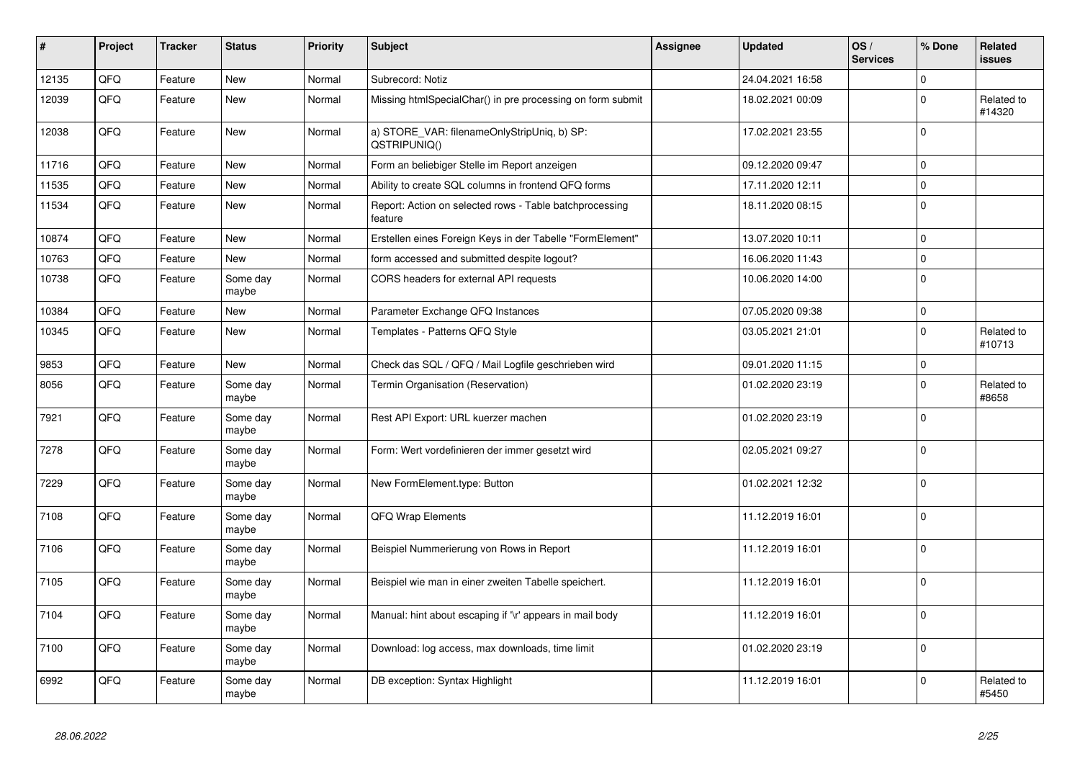| #     | Project | <b>Tracker</b> | <b>Status</b>     | <b>Priority</b> | <b>Subject</b>                                                     | <b>Assignee</b> | <b>Updated</b>   | OS/<br><b>Services</b> | % Done      | <b>Related</b><br><b>issues</b> |
|-------|---------|----------------|-------------------|-----------------|--------------------------------------------------------------------|-----------------|------------------|------------------------|-------------|---------------------------------|
| 12135 | QFQ     | Feature        | <b>New</b>        | Normal          | Subrecord: Notiz                                                   |                 | 24.04.2021 16:58 |                        | $\Omega$    |                                 |
| 12039 | QFQ     | Feature        | <b>New</b>        | Normal          | Missing htmlSpecialChar() in pre processing on form submit         |                 | 18.02.2021 00:09 |                        | $\Omega$    | Related to<br>#14320            |
| 12038 | QFQ     | Feature        | <b>New</b>        | Normal          | a) STORE_VAR: filenameOnlyStripUniq, b) SP:<br>QSTRIPUNIQ()        |                 | 17.02.2021 23:55 |                        | $\Omega$    |                                 |
| 11716 | QFQ     | Feature        | <b>New</b>        | Normal          | Form an beliebiger Stelle im Report anzeigen                       |                 | 09.12.2020 09:47 |                        | $\mathbf 0$ |                                 |
| 11535 | QFQ     | Feature        | <b>New</b>        | Normal          | Ability to create SQL columns in frontend QFQ forms                |                 | 17.11.2020 12:11 |                        | $\Omega$    |                                 |
| 11534 | QFQ     | Feature        | New               | Normal          | Report: Action on selected rows - Table batchprocessing<br>feature |                 | 18.11.2020 08:15 |                        | $\Omega$    |                                 |
| 10874 | QFQ     | Feature        | <b>New</b>        | Normal          | Erstellen eines Foreign Keys in der Tabelle "FormElement"          |                 | 13.07.2020 10:11 |                        | $\mathbf 0$ |                                 |
| 10763 | QFQ     | Feature        | <b>New</b>        | Normal          | form accessed and submitted despite logout?                        |                 | 16.06.2020 11:43 |                        | $\Omega$    |                                 |
| 10738 | QFQ     | Feature        | Some day<br>maybe | Normal          | CORS headers for external API requests                             |                 | 10.06.2020 14:00 |                        | $\Omega$    |                                 |
| 10384 | QFQ     | Feature        | <b>New</b>        | Normal          | Parameter Exchange QFQ Instances                                   |                 | 07.05.2020 09:38 |                        | $\Omega$    |                                 |
| 10345 | QFQ     | Feature        | <b>New</b>        | Normal          | Templates - Patterns QFQ Style                                     |                 | 03.05.2021 21:01 |                        | $\Omega$    | Related to<br>#10713            |
| 9853  | QFQ     | Feature        | <b>New</b>        | Normal          | Check das SQL / QFQ / Mail Logfile geschrieben wird                |                 | 09.01.2020 11:15 |                        | $\mathbf 0$ |                                 |
| 8056  | QFQ     | Feature        | Some day<br>maybe | Normal          | Termin Organisation (Reservation)                                  |                 | 01.02.2020 23:19 |                        | $\Omega$    | Related to<br>#8658             |
| 7921  | QFQ     | Feature        | Some day<br>maybe | Normal          | Rest API Export: URL kuerzer machen                                |                 | 01.02.2020 23:19 |                        | $\mathbf 0$ |                                 |
| 7278  | QFQ     | Feature        | Some day<br>maybe | Normal          | Form: Wert vordefinieren der immer gesetzt wird                    |                 | 02.05.2021 09:27 |                        | $\Omega$    |                                 |
| 7229  | QFQ     | Feature        | Some day<br>maybe | Normal          | New FormElement.type: Button                                       |                 | 01.02.2021 12:32 |                        | $\Omega$    |                                 |
| 7108  | QFQ     | Feature        | Some day<br>maybe | Normal          | QFQ Wrap Elements                                                  |                 | 11.12.2019 16:01 |                        | $\mathbf 0$ |                                 |
| 7106  | QFQ     | Feature        | Some day<br>maybe | Normal          | Beispiel Nummerierung von Rows in Report                           |                 | 11.12.2019 16:01 |                        | $\Omega$    |                                 |
| 7105  | QFQ     | Feature        | Some day<br>maybe | Normal          | Beispiel wie man in einer zweiten Tabelle speichert.               |                 | 11.12.2019 16:01 |                        | $\Omega$    |                                 |
| 7104  | QFQ     | Feature        | Some day<br>maybe | Normal          | Manual: hint about escaping if '\r' appears in mail body           |                 | 11.12.2019 16:01 |                        | $\Omega$    |                                 |
| 7100  | QFQ     | Feature        | Some day<br>maybe | Normal          | Download: log access, max downloads, time limit                    |                 | 01.02.2020 23:19 |                        | $\mathbf 0$ |                                 |
| 6992  | QFQ     | Feature        | Some day<br>maybe | Normal          | DB exception: Syntax Highlight                                     |                 | 11.12.2019 16:01 |                        | $\Omega$    | Related to<br>#5450             |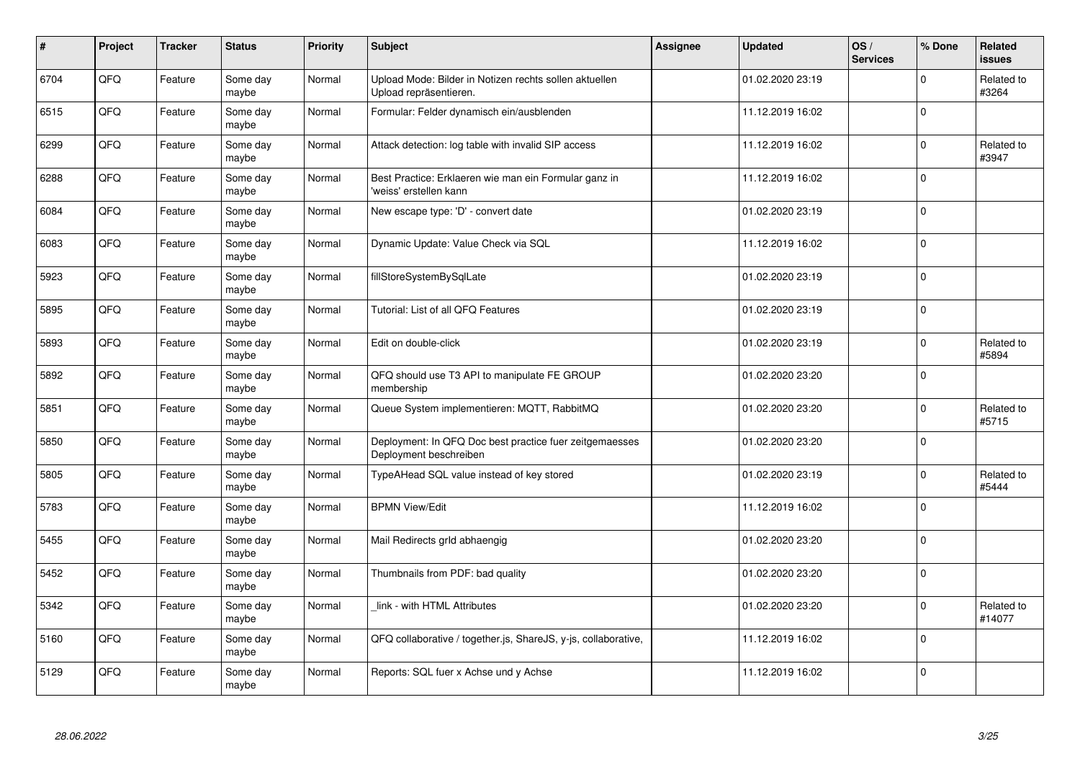| $\vert$ # | Project | <b>Tracker</b> | <b>Status</b>     | Priority | <b>Subject</b>                                                                    | Assignee | <b>Updated</b>   | OS/<br><b>Services</b> | % Done      | Related<br><b>issues</b> |
|-----------|---------|----------------|-------------------|----------|-----------------------------------------------------------------------------------|----------|------------------|------------------------|-------------|--------------------------|
| 6704      | QFQ     | Feature        | Some day<br>maybe | Normal   | Upload Mode: Bilder in Notizen rechts sollen aktuellen<br>Upload repräsentieren.  |          | 01.02.2020 23:19 |                        | $\Omega$    | Related to<br>#3264      |
| 6515      | QFQ     | Feature        | Some day<br>maybe | Normal   | Formular: Felder dynamisch ein/ausblenden                                         |          | 11.12.2019 16:02 |                        | $\Omega$    |                          |
| 6299      | QFQ     | Feature        | Some day<br>maybe | Normal   | Attack detection: log table with invalid SIP access                               |          | 11.12.2019 16:02 |                        | $\Omega$    | Related to<br>#3947      |
| 6288      | QFQ     | Feature        | Some day<br>maybe | Normal   | Best Practice: Erklaeren wie man ein Formular ganz in<br>'weiss' erstellen kann   |          | 11.12.2019 16:02 |                        | $\Omega$    |                          |
| 6084      | QFQ     | Feature        | Some day<br>maybe | Normal   | New escape type: 'D' - convert date                                               |          | 01.02.2020 23:19 |                        | $\mathbf 0$ |                          |
| 6083      | QFQ     | Feature        | Some day<br>maybe | Normal   | Dynamic Update: Value Check via SQL                                               |          | 11.12.2019 16:02 |                        | $\Omega$    |                          |
| 5923      | QFQ     | Feature        | Some day<br>maybe | Normal   | fillStoreSystemBySqlLate                                                          |          | 01.02.2020 23:19 |                        | $\Omega$    |                          |
| 5895      | QFQ     | Feature        | Some day<br>maybe | Normal   | Tutorial: List of all QFQ Features                                                |          | 01.02.2020 23:19 |                        | $\Omega$    |                          |
| 5893      | QFQ     | Feature        | Some day<br>maybe | Normal   | Edit on double-click                                                              |          | 01.02.2020 23:19 |                        | $\Omega$    | Related to<br>#5894      |
| 5892      | QFQ     | Feature        | Some day<br>maybe | Normal   | QFQ should use T3 API to manipulate FE GROUP<br>membership                        |          | 01.02.2020 23:20 |                        | $\Omega$    |                          |
| 5851      | QFQ     | Feature        | Some day<br>maybe | Normal   | Queue System implementieren: MQTT, RabbitMQ                                       |          | 01.02.2020 23:20 |                        | $\mathbf 0$ | Related to<br>#5715      |
| 5850      | QFQ     | Feature        | Some day<br>maybe | Normal   | Deployment: In QFQ Doc best practice fuer zeitgemaesses<br>Deployment beschreiben |          | 01.02.2020 23:20 |                        | $\mathbf 0$ |                          |
| 5805      | QFQ     | Feature        | Some day<br>maybe | Normal   | TypeAHead SQL value instead of key stored                                         |          | 01.02.2020 23:19 |                        | $\Omega$    | Related to<br>#5444      |
| 5783      | QFQ     | Feature        | Some day<br>maybe | Normal   | <b>BPMN View/Edit</b>                                                             |          | 11.12.2019 16:02 |                        | $\mathbf 0$ |                          |
| 5455      | QFQ     | Feature        | Some day<br>maybe | Normal   | Mail Redirects grld abhaengig                                                     |          | 01.02.2020 23:20 |                        | $\Omega$    |                          |
| 5452      | QFQ     | Feature        | Some day<br>maybe | Normal   | Thumbnails from PDF: bad quality                                                  |          | 01.02.2020 23:20 |                        | $\Omega$    |                          |
| 5342      | QFQ     | Feature        | Some day<br>maybe | Normal   | link - with HTML Attributes                                                       |          | 01.02.2020 23:20 |                        | $\Omega$    | Related to<br>#14077     |
| 5160      | QFQ     | Feature        | Some day<br>maybe | Normal   | QFQ collaborative / together.js, ShareJS, y-js, collaborative,                    |          | 11.12.2019 16:02 |                        | $\Omega$    |                          |
| 5129      | QFQ     | Feature        | Some day<br>maybe | Normal   | Reports: SQL fuer x Achse und y Achse                                             |          | 11.12.2019 16:02 |                        | $\Omega$    |                          |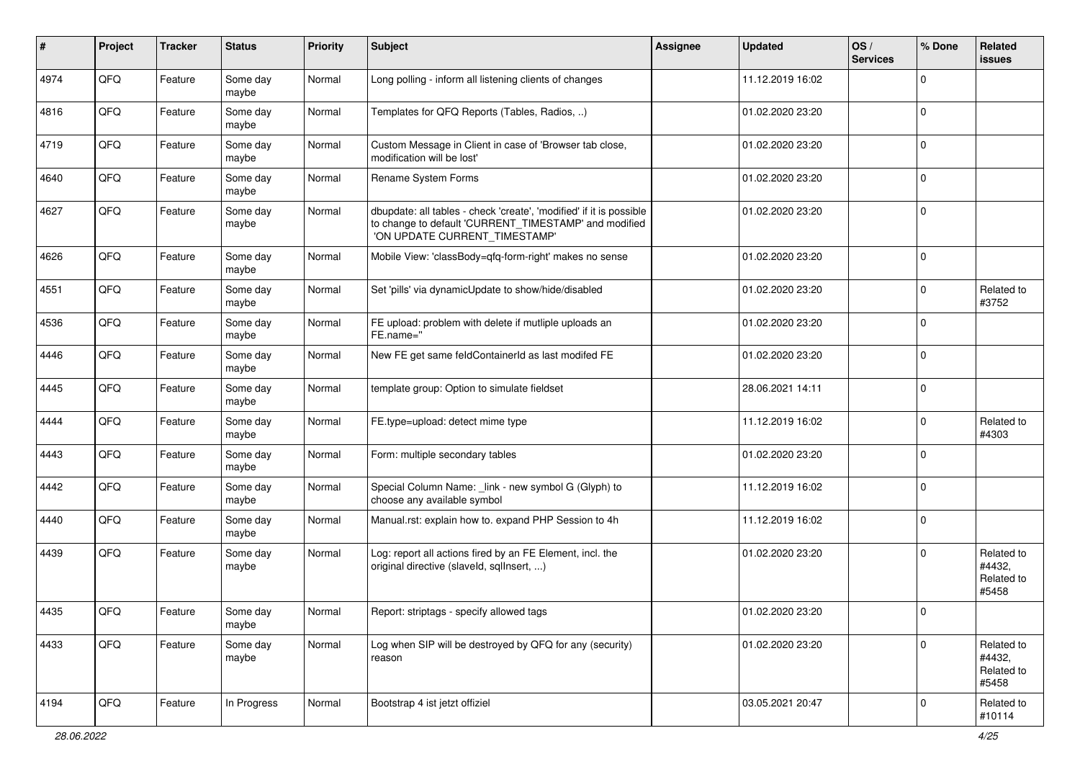| ∦    | Project | <b>Tracker</b> | <b>Status</b>     | <b>Priority</b> | <b>Subject</b>                                                                                                                                                | <b>Assignee</b> | <b>Updated</b>   | OS/<br><b>Services</b> | % Done       | Related<br>issues                           |
|------|---------|----------------|-------------------|-----------------|---------------------------------------------------------------------------------------------------------------------------------------------------------------|-----------------|------------------|------------------------|--------------|---------------------------------------------|
| 4974 | QFQ     | Feature        | Some day<br>maybe | Normal          | Long polling - inform all listening clients of changes                                                                                                        |                 | 11.12.2019 16:02 |                        | <sup>0</sup> |                                             |
| 4816 | QFQ     | Feature        | Some day<br>maybe | Normal          | Templates for QFQ Reports (Tables, Radios, )                                                                                                                  |                 | 01.02.2020 23:20 |                        | $\Omega$     |                                             |
| 4719 | QFQ     | Feature        | Some day<br>maybe | Normal          | Custom Message in Client in case of 'Browser tab close,<br>modification will be lost'                                                                         |                 | 01.02.2020 23:20 |                        | $\Omega$     |                                             |
| 4640 | QFQ     | Feature        | Some day<br>maybe | Normal          | Rename System Forms                                                                                                                                           |                 | 01.02.2020 23:20 |                        | $\Omega$     |                                             |
| 4627 | QFQ     | Feature        | Some day<br>maybe | Normal          | dbupdate: all tables - check 'create', 'modified' if it is possible<br>to change to default 'CURRENT_TIMESTAMP' and modified<br>'ON UPDATE CURRENT_TIMESTAMP' |                 | 01.02.2020 23:20 |                        | $\Omega$     |                                             |
| 4626 | QFQ     | Feature        | Some day<br>maybe | Normal          | Mobile View: 'classBody=qfq-form-right' makes no sense                                                                                                        |                 | 01.02.2020 23:20 |                        | $\Omega$     |                                             |
| 4551 | QFQ     | Feature        | Some day<br>maybe | Normal          | Set 'pills' via dynamicUpdate to show/hide/disabled                                                                                                           |                 | 01.02.2020 23:20 |                        | $\Omega$     | Related to<br>#3752                         |
| 4536 | QFQ     | Feature        | Some day<br>maybe | Normal          | FE upload: problem with delete if mutliple uploads an<br>FE.name="                                                                                            |                 | 01.02.2020 23:20 |                        | $\Omega$     |                                             |
| 4446 | QFQ     | Feature        | Some day<br>maybe | Normal          | New FE get same feldContainerId as last modifed FE                                                                                                            |                 | 01.02.2020 23:20 |                        | $\Omega$     |                                             |
| 4445 | QFQ     | Feature        | Some day<br>maybe | Normal          | template group: Option to simulate fieldset                                                                                                                   |                 | 28.06.2021 14:11 |                        | $\mathbf 0$  |                                             |
| 4444 | QFQ     | Feature        | Some day<br>maybe | Normal          | FE.type=upload: detect mime type                                                                                                                              |                 | 11.12.2019 16:02 |                        | $\Omega$     | Related to<br>#4303                         |
| 4443 | QFQ     | Feature        | Some day<br>maybe | Normal          | Form: multiple secondary tables                                                                                                                               |                 | 01.02.2020 23:20 |                        | $\Omega$     |                                             |
| 4442 | QFQ     | Feature        | Some day<br>maybe | Normal          | Special Column Name: _link - new symbol G (Glyph) to<br>choose any available symbol                                                                           |                 | 11.12.2019 16:02 |                        | $\Omega$     |                                             |
| 4440 | QFQ     | Feature        | Some day<br>maybe | Normal          | Manual.rst: explain how to. expand PHP Session to 4h                                                                                                          |                 | 11.12.2019 16:02 |                        | $\Omega$     |                                             |
| 4439 | QFQ     | Feature        | Some day<br>maybe | Normal          | Log: report all actions fired by an FE Element, incl. the<br>original directive (slaveld, sqllnsert, )                                                        |                 | 01.02.2020 23:20 |                        | $\Omega$     | Related to<br>#4432,<br>Related to<br>#5458 |
| 4435 | QFQ     | Feature        | Some day<br>maybe | Normal          | Report: striptags - specify allowed tags                                                                                                                      |                 | 01.02.2020 23:20 |                        |              |                                             |
| 4433 | QFQ     | Feature        | Some day<br>maybe | Normal          | Log when SIP will be destroyed by QFQ for any (security)<br>reason                                                                                            |                 | 01.02.2020 23:20 |                        | 0            | Related to<br>#4432,<br>Related to<br>#5458 |
| 4194 | QFQ     | Feature        | In Progress       | Normal          | Bootstrap 4 ist jetzt offiziel                                                                                                                                |                 | 03.05.2021 20:47 |                        | $\mathbf 0$  | Related to<br>#10114                        |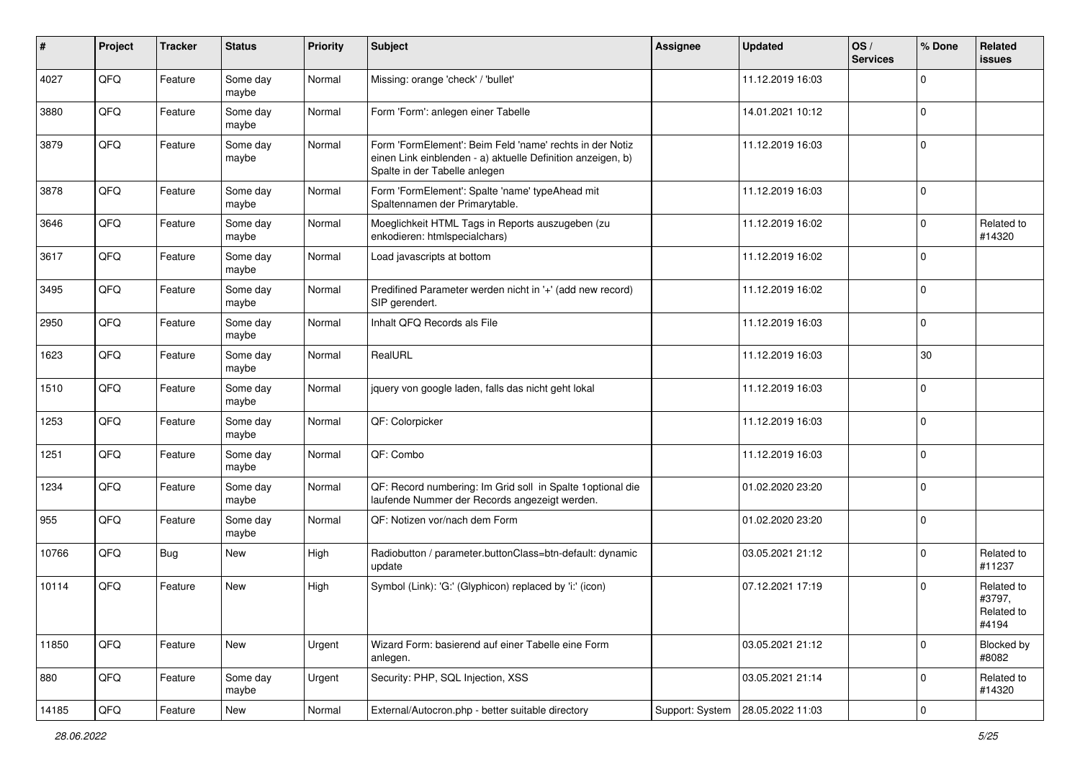| #     | Project | <b>Tracker</b> | <b>Status</b>     | <b>Priority</b> | <b>Subject</b>                                                                                                                                           | Assignee        | <b>Updated</b>   | OS/<br><b>Services</b> | % Done      | Related<br><b>issues</b>                    |
|-------|---------|----------------|-------------------|-----------------|----------------------------------------------------------------------------------------------------------------------------------------------------------|-----------------|------------------|------------------------|-------------|---------------------------------------------|
| 4027  | QFQ     | Feature        | Some day<br>maybe | Normal          | Missing: orange 'check' / 'bullet'                                                                                                                       |                 | 11.12.2019 16:03 |                        | $\Omega$    |                                             |
| 3880  | QFQ     | Feature        | Some day<br>maybe | Normal          | Form 'Form': anlegen einer Tabelle                                                                                                                       |                 | 14.01.2021 10:12 |                        | $\mathbf 0$ |                                             |
| 3879  | QFQ     | Feature        | Some day<br>maybe | Normal          | Form 'FormElement': Beim Feld 'name' rechts in der Notiz<br>einen Link einblenden - a) aktuelle Definition anzeigen, b)<br>Spalte in der Tabelle anlegen |                 | 11.12.2019 16:03 |                        | $\Omega$    |                                             |
| 3878  | QFQ     | Feature        | Some day<br>maybe | Normal          | Form 'FormElement': Spalte 'name' typeAhead mit<br>Spaltennamen der Primarytable.                                                                        |                 | 11.12.2019 16:03 |                        | $\Omega$    |                                             |
| 3646  | QFQ     | Feature        | Some day<br>maybe | Normal          | Moeglichkeit HTML Tags in Reports auszugeben (zu<br>enkodieren: htmlspecialchars)                                                                        |                 | 11.12.2019 16:02 |                        | $\Omega$    | Related to<br>#14320                        |
| 3617  | QFQ     | Feature        | Some day<br>maybe | Normal          | Load javascripts at bottom                                                                                                                               |                 | 11.12.2019 16:02 |                        | $\Omega$    |                                             |
| 3495  | QFQ     | Feature        | Some day<br>maybe | Normal          | Predifined Parameter werden nicht in '+' (add new record)<br>SIP gerendert.                                                                              |                 | 11.12.2019 16:02 |                        | $\mathbf 0$ |                                             |
| 2950  | QFQ     | Feature        | Some day<br>maybe | Normal          | Inhalt QFQ Records als File                                                                                                                              |                 | 11.12.2019 16:03 |                        | $\Omega$    |                                             |
| 1623  | QFQ     | Feature        | Some day<br>maybe | Normal          | RealURL                                                                                                                                                  |                 | 11.12.2019 16:03 |                        | 30          |                                             |
| 1510  | QFQ     | Feature        | Some day<br>maybe | Normal          | jquery von google laden, falls das nicht geht lokal                                                                                                      |                 | 11.12.2019 16:03 |                        | $\mathbf 0$ |                                             |
| 1253  | QFQ     | Feature        | Some day<br>maybe | Normal          | QF: Colorpicker                                                                                                                                          |                 | 11.12.2019 16:03 |                        | $\Omega$    |                                             |
| 1251  | QFQ     | Feature        | Some day<br>maybe | Normal          | QF: Combo                                                                                                                                                |                 | 11.12.2019 16:03 |                        | $\Omega$    |                                             |
| 1234  | QFQ     | Feature        | Some day<br>maybe | Normal          | QF: Record numbering: Im Grid soll in Spalte 1 optional die<br>laufende Nummer der Records angezeigt werden.                                             |                 | 01.02.2020 23:20 |                        | $\Omega$    |                                             |
| 955   | QFQ     | Feature        | Some day<br>maybe | Normal          | QF: Notizen vor/nach dem Form                                                                                                                            |                 | 01.02.2020 23:20 |                        | $\mathbf 0$ |                                             |
| 10766 | QFQ     | <b>Bug</b>     | New               | High            | Radiobutton / parameter.buttonClass=btn-default: dynamic<br>update                                                                                       |                 | 03.05.2021 21:12 |                        | $\Omega$    | Related to<br>#11237                        |
| 10114 | QFQ     | Feature        | <b>New</b>        | High            | Symbol (Link): 'G:' (Glyphicon) replaced by 'i:' (icon)                                                                                                  |                 | 07.12.2021 17:19 |                        | 0           | Related to<br>#3797,<br>Related to<br>#4194 |
| 11850 | QFQ     | Feature        | New               | Urgent          | Wizard Form: basierend auf einer Tabelle eine Form<br>anlegen.                                                                                           |                 | 03.05.2021 21:12 |                        | $\Omega$    | Blocked by<br>#8082                         |
| 880   | QFQ     | Feature        | Some day<br>maybe | Urgent          | Security: PHP, SQL Injection, XSS                                                                                                                        |                 | 03.05.2021 21:14 |                        | 0           | Related to<br>#14320                        |
| 14185 | QFQ     | Feature        | New               | Normal          | External/Autocron.php - better suitable directory                                                                                                        | Support: System | 28.05.2022 11:03 |                        | $\mathbf 0$ |                                             |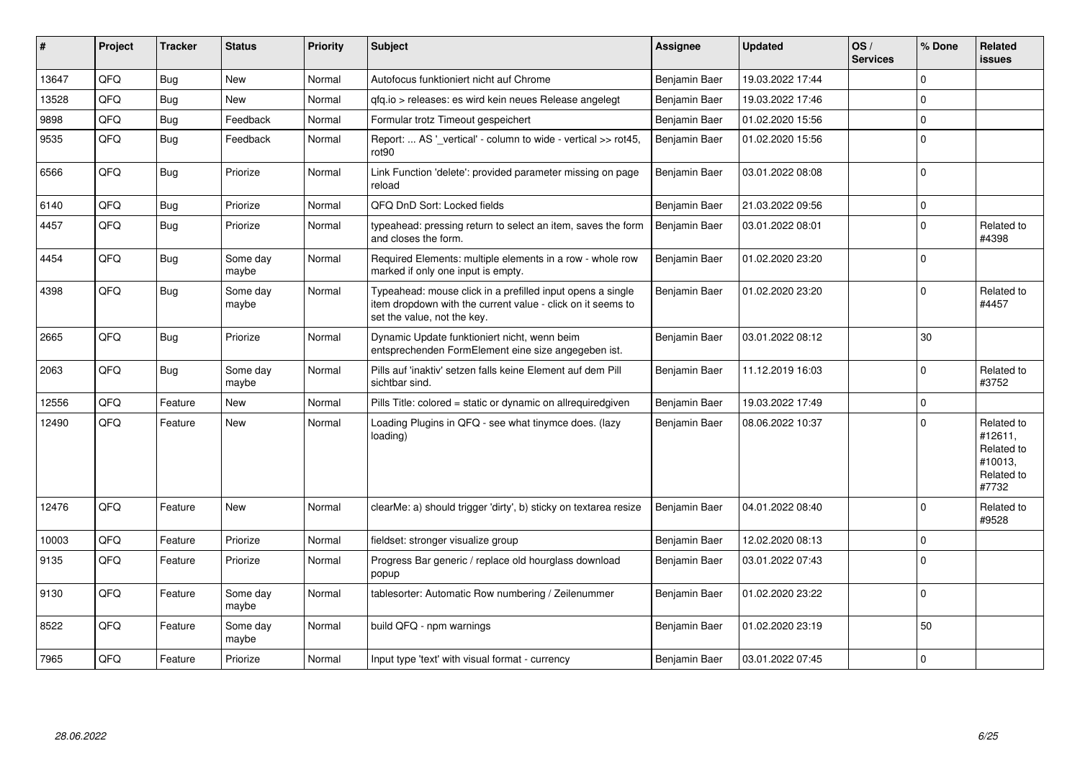| ∣#    | Project | <b>Tracker</b> | <b>Status</b>     | <b>Priority</b> | <b>Subject</b>                                                                                                                                           | Assignee      | <b>Updated</b>   | OS/<br><b>Services</b> | % Done      | Related<br><b>issues</b>                                              |
|-------|---------|----------------|-------------------|-----------------|----------------------------------------------------------------------------------------------------------------------------------------------------------|---------------|------------------|------------------------|-------------|-----------------------------------------------------------------------|
| 13647 | QFQ     | Bug            | <b>New</b>        | Normal          | Autofocus funktioniert nicht auf Chrome                                                                                                                  | Benjamin Baer | 19.03.2022 17:44 |                        | $\Omega$    |                                                                       |
| 13528 | QFQ     | <b>Bug</b>     | <b>New</b>        | Normal          | gfg.io > releases: es wird kein neues Release angelegt                                                                                                   | Benjamin Baer | 19.03.2022 17:46 |                        | $\Omega$    |                                                                       |
| 9898  | QFQ     | <b>Bug</b>     | Feedback          | Normal          | Formular trotz Timeout gespeichert                                                                                                                       | Benjamin Baer | 01.02.2020 15:56 |                        | $\mathbf 0$ |                                                                       |
| 9535  | QFQ     | <b>Bug</b>     | Feedback          | Normal          | Report:  AS ' vertical' - column to wide - vertical >> rot45,<br>rot <sub>90</sub>                                                                       | Benjamin Baer | 01.02.2020 15:56 |                        | $\Omega$    |                                                                       |
| 6566  | QFQ     | Bug            | Priorize          | Normal          | Link Function 'delete': provided parameter missing on page<br>reload                                                                                     | Benjamin Baer | 03.01.2022 08:08 |                        | $\Omega$    |                                                                       |
| 6140  | QFQ     | <b>Bug</b>     | Priorize          | Normal          | QFQ DnD Sort: Locked fields                                                                                                                              | Benjamin Baer | 21.03.2022 09:56 |                        | $\Omega$    |                                                                       |
| 4457  | QFQ     | <b>Bug</b>     | Priorize          | Normal          | typeahead: pressing return to select an item, saves the form<br>and closes the form.                                                                     | Benjamin Baer | 03.01.2022 08:01 |                        | $\Omega$    | Related to<br>#4398                                                   |
| 4454  | QFQ     | <b>Bug</b>     | Some day<br>maybe | Normal          | Required Elements: multiple elements in a row - whole row<br>marked if only one input is empty.                                                          | Benjamin Baer | 01.02.2020 23:20 |                        | $\Omega$    |                                                                       |
| 4398  | QFQ     | Bug            | Some dav<br>maybe | Normal          | Typeahead: mouse click in a prefilled input opens a single<br>item dropdown with the current value - click on it seems to<br>set the value, not the key. | Benjamin Baer | 01.02.2020 23:20 |                        | $\Omega$    | Related to<br>#4457                                                   |
| 2665  | QFQ     | Bug            | Priorize          | Normal          | Dynamic Update funktioniert nicht, wenn beim<br>entsprechenden FormElement eine size angegeben ist.                                                      | Benjamin Baer | 03.01.2022 08:12 |                        | 30          |                                                                       |
| 2063  | QFQ     | <b>Bug</b>     | Some day<br>maybe | Normal          | Pills auf 'inaktiv' setzen falls keine Element auf dem Pill<br>sichtbar sind.                                                                            | Benjamin Baer | 11.12.2019 16:03 |                        | $\Omega$    | Related to<br>#3752                                                   |
| 12556 | QFQ     | Feature        | <b>New</b>        | Normal          | Pills Title: colored = static or dynamic on allrequiredgiven                                                                                             | Benjamin Baer | 19.03.2022 17:49 |                        | $\Omega$    |                                                                       |
| 12490 | QFQ     | Feature        | New               | Normal          | Loading Plugins in QFQ - see what tinymce does. (lazy<br>loading)                                                                                        | Benjamin Baer | 08.06.2022 10:37 |                        | $\Omega$    | Related to<br>#12611,<br>Related to<br>#10013,<br>Related to<br>#7732 |
| 12476 | QFQ     | Feature        | <b>New</b>        | Normal          | clearMe: a) should trigger 'dirty', b) sticky on textarea resize                                                                                         | Benjamin Baer | 04.01.2022 08:40 |                        | $\Omega$    | Related to<br>#9528                                                   |
| 10003 | QFQ     | Feature        | Priorize          | Normal          | fieldset: stronger visualize group                                                                                                                       | Benjamin Baer | 12.02.2020 08:13 |                        | $\mathbf 0$ |                                                                       |
| 9135  | QFQ     | Feature        | Priorize          | Normal          | Progress Bar generic / replace old hourglass download<br>popup                                                                                           | Benjamin Baer | 03.01.2022 07:43 |                        | $\Omega$    |                                                                       |
| 9130  | QFQ     | Feature        | Some day<br>maybe | Normal          | tablesorter: Automatic Row numbering / Zeilenummer                                                                                                       | Benjamin Baer | 01.02.2020 23:22 |                        | $\Omega$    |                                                                       |
| 8522  | QFQ     | Feature        | Some day<br>maybe | Normal          | build QFQ - npm warnings                                                                                                                                 | Benjamin Baer | 01.02.2020 23:19 |                        | 50          |                                                                       |
| 7965  | QFQ     | Feature        | Priorize          | Normal          | Input type 'text' with visual format - currency                                                                                                          | Benjamin Baer | 03.01.2022 07:45 |                        | $\mathbf 0$ |                                                                       |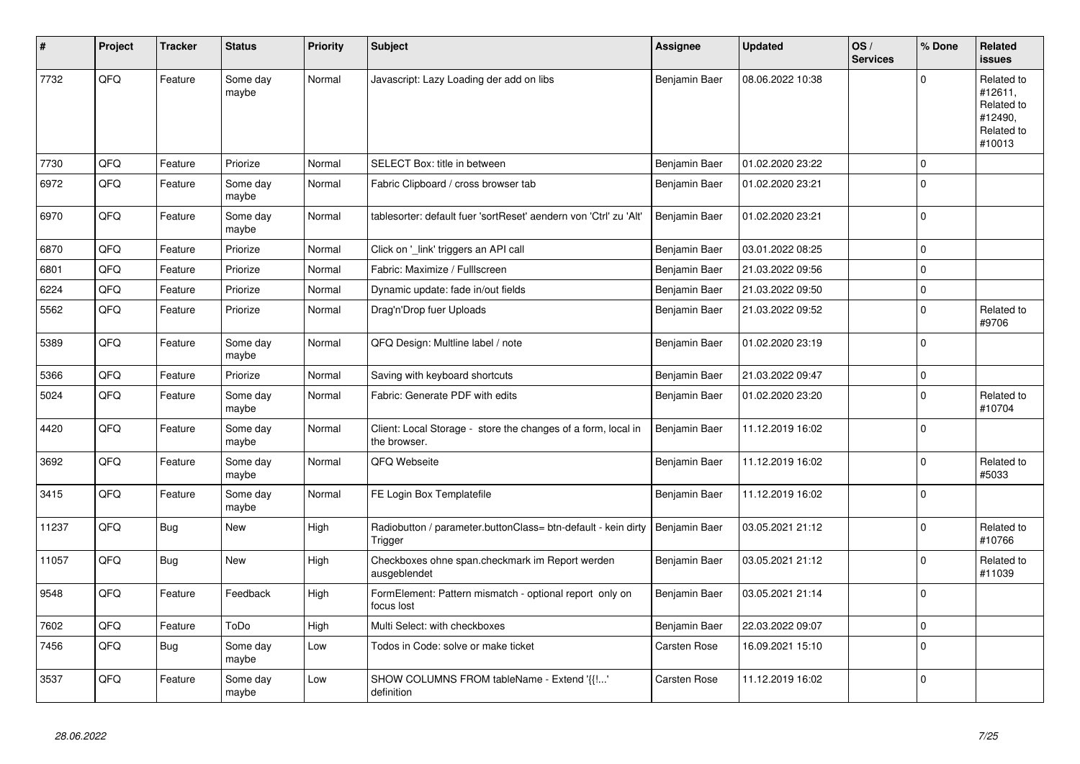| #     | Project | <b>Tracker</b> | <b>Status</b>     | <b>Priority</b> | <b>Subject</b>                                                                | <b>Assignee</b>     | <b>Updated</b>   | OS/<br><b>Services</b> | % Done         | Related<br>issues                                                      |
|-------|---------|----------------|-------------------|-----------------|-------------------------------------------------------------------------------|---------------------|------------------|------------------------|----------------|------------------------------------------------------------------------|
| 7732  | QFQ     | Feature        | Some day<br>maybe | Normal          | Javascript: Lazy Loading der add on libs                                      | Benjamin Baer       | 08.06.2022 10:38 |                        | $\Omega$       | Related to<br>#12611,<br>Related to<br>#12490,<br>Related to<br>#10013 |
| 7730  | QFQ     | Feature        | Priorize          | Normal          | SELECT Box: title in between                                                  | Benjamin Baer       | 01.02.2020 23:22 |                        | $\Omega$       |                                                                        |
| 6972  | QFQ     | Feature        | Some day<br>maybe | Normal          | Fabric Clipboard / cross browser tab                                          | Benjamin Baer       | 01.02.2020 23:21 |                        | $\Omega$       |                                                                        |
| 6970  | QFQ     | Feature        | Some day<br>maybe | Normal          | tablesorter: default fuer 'sortReset' aendern von 'Ctrl' zu 'Alt'             | Benjamin Baer       | 01.02.2020 23:21 |                        | $\Omega$       |                                                                        |
| 6870  | QFQ     | Feature        | Priorize          | Normal          | Click on '_link' triggers an API call                                         | Benjamin Baer       | 03.01.2022 08:25 |                        | $\mathbf 0$    |                                                                        |
| 6801  | QFQ     | Feature        | Priorize          | Normal          | Fabric: Maximize / Fulllscreen                                                | Benjamin Baer       | 21.03.2022 09:56 |                        | $\Omega$       |                                                                        |
| 6224  | QFQ     | Feature        | Priorize          | Normal          | Dynamic update: fade in/out fields                                            | Benjamin Baer       | 21.03.2022 09:50 |                        | $\Omega$       |                                                                        |
| 5562  | QFQ     | Feature        | Priorize          | Normal          | Drag'n'Drop fuer Uploads                                                      | Benjamin Baer       | 21.03.2022 09:52 |                        | $\Omega$       | Related to<br>#9706                                                    |
| 5389  | QFQ     | Feature        | Some day<br>maybe | Normal          | QFQ Design: Multline label / note                                             | Benjamin Baer       | 01.02.2020 23:19 |                        | $\overline{0}$ |                                                                        |
| 5366  | QFQ     | Feature        | Priorize          | Normal          | Saving with keyboard shortcuts                                                | Benjamin Baer       | 21.03.2022 09:47 |                        | $\mathbf 0$    |                                                                        |
| 5024  | QFQ     | Feature        | Some day<br>maybe | Normal          | Fabric: Generate PDF with edits                                               | Benjamin Baer       | 01.02.2020 23:20 |                        | $\mathbf 0$    | Related to<br>#10704                                                   |
| 4420  | QFQ     | Feature        | Some day<br>maybe | Normal          | Client: Local Storage - store the changes of a form, local in<br>the browser. | Benjamin Baer       | 11.12.2019 16:02 |                        | $\mathbf 0$    |                                                                        |
| 3692  | QFQ     | Feature        | Some day<br>maybe | Normal          | QFQ Webseite                                                                  | Benjamin Baer       | 11.12.2019 16:02 |                        | $\Omega$       | Related to<br>#5033                                                    |
| 3415  | QFQ     | Feature        | Some day<br>maybe | Normal          | FE Login Box Templatefile                                                     | Benjamin Baer       | 11.12.2019 16:02 |                        | $\mathbf 0$    |                                                                        |
| 11237 | QFQ     | Bug            | New               | High            | Radiobutton / parameter.buttonClass= btn-default - kein dirty<br>Trigger      | Benjamin Baer       | 03.05.2021 21:12 |                        | $\Omega$       | Related to<br>#10766                                                   |
| 11057 | QFQ     | Bug            | <b>New</b>        | High            | Checkboxes ohne span.checkmark im Report werden<br>ausgeblendet               | Benjamin Baer       | 03.05.2021 21:12 |                        | $\mathbf 0$    | Related to<br>#11039                                                   |
| 9548  | QFQ     | Feature        | Feedback          | High            | FormElement: Pattern mismatch - optional report only on<br>focus lost         | Benjamin Baer       | 03.05.2021 21:14 |                        | $\mathbf 0$    |                                                                        |
| 7602  | QFQ     | Feature        | ToDo              | High            | Multi Select: with checkboxes                                                 | Benjamin Baer       | 22.03.2022 09:07 |                        | $\Omega$       |                                                                        |
| 7456  | QFQ     | Bug            | Some day<br>maybe | Low             | Todos in Code: solve or make ticket                                           | <b>Carsten Rose</b> | 16.09.2021 15:10 |                        | $\Omega$       |                                                                        |
| 3537  | QFQ     | Feature        | Some day<br>maybe | Low             | SHOW COLUMNS FROM tableName - Extend '{{!'<br>definition                      | <b>Carsten Rose</b> | 11.12.2019 16:02 |                        | $\Omega$       |                                                                        |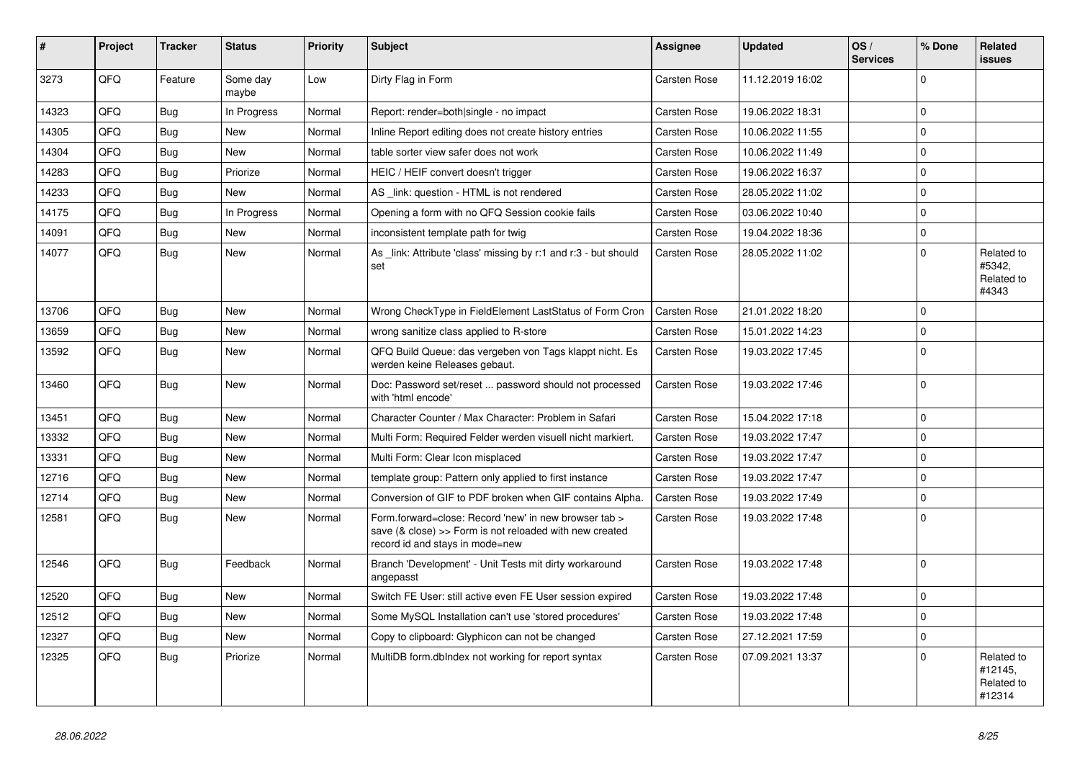| #     | Project | <b>Tracker</b> | <b>Status</b>     | <b>Priority</b> | <b>Subject</b>                                                                                                                                                | <b>Assignee</b>     | <b>Updated</b>   | OS/<br><b>Services</b> | % Done         | Related<br><b>issues</b>                      |
|-------|---------|----------------|-------------------|-----------------|---------------------------------------------------------------------------------------------------------------------------------------------------------------|---------------------|------------------|------------------------|----------------|-----------------------------------------------|
| 3273  | QFQ     | Feature        | Some day<br>maybe | Low             | Dirty Flag in Form                                                                                                                                            | <b>Carsten Rose</b> | 11.12.2019 16:02 |                        | $\Omega$       |                                               |
| 14323 | QFQ     | Bug            | In Progress       | Normal          | Report: render=both single - no impact                                                                                                                        | Carsten Rose        | 19.06.2022 18:31 |                        | $\Omega$       |                                               |
| 14305 | QFQ     | Bug            | <b>New</b>        | Normal          | Inline Report editing does not create history entries                                                                                                         | <b>Carsten Rose</b> | 10.06.2022 11:55 |                        | $\Omega$       |                                               |
| 14304 | QFQ     | Bug            | New               | Normal          | table sorter view safer does not work                                                                                                                         | Carsten Rose        | 10.06.2022 11:49 |                        | $\Omega$       |                                               |
| 14283 | QFQ     | Bug            | Priorize          | Normal          | HEIC / HEIF convert doesn't trigger                                                                                                                           | Carsten Rose        | 19.06.2022 16:37 |                        | $\overline{0}$ |                                               |
| 14233 | QFQ     | <b>Bug</b>     | <b>New</b>        | Normal          | AS link: question - HTML is not rendered                                                                                                                      | Carsten Rose        | 28.05.2022 11:02 |                        | $\Omega$       |                                               |
| 14175 | QFQ     | Bug            | In Progress       | Normal          | Opening a form with no QFQ Session cookie fails                                                                                                               | <b>Carsten Rose</b> | 03.06.2022 10:40 |                        | $\Omega$       |                                               |
| 14091 | QFQ     | Bug            | <b>New</b>        | Normal          | inconsistent template path for twig                                                                                                                           | Carsten Rose        | 19.04.2022 18:36 |                        | $\Omega$       |                                               |
| 14077 | QFQ     | Bug            | <b>New</b>        | Normal          | As link: Attribute 'class' missing by r:1 and r:3 - but should<br>set                                                                                         | <b>Carsten Rose</b> | 28.05.2022 11:02 |                        | $\Omega$       | Related to<br>#5342.<br>Related to<br>#4343   |
| 13706 | QFQ     | Bug            | <b>New</b>        | Normal          | Wrong CheckType in FieldElement LastStatus of Form Cron                                                                                                       | <b>Carsten Rose</b> | 21.01.2022 18:20 |                        | $\Omega$       |                                               |
| 13659 | QFQ     | <b>Bug</b>     | <b>New</b>        | Normal          | wrong sanitize class applied to R-store                                                                                                                       | Carsten Rose        | 15.01.2022 14:23 |                        | $\Omega$       |                                               |
| 13592 | QFQ     | <b>Bug</b>     | <b>New</b>        | Normal          | QFQ Build Queue: das vergeben von Tags klappt nicht. Es<br>werden keine Releases gebaut.                                                                      | Carsten Rose        | 19.03.2022 17:45 |                        | $\Omega$       |                                               |
| 13460 | OFO     | Bug            | <b>New</b>        | Normal          | Doc: Password set/reset  password should not processed<br>with 'html encode'                                                                                  | Carsten Rose        | 19.03.2022 17:46 |                        | $\Omega$       |                                               |
| 13451 | QFQ     | Bug            | <b>New</b>        | Normal          | Character Counter / Max Character: Problem in Safari                                                                                                          | Carsten Rose        | 15.04.2022 17:18 |                        | $\overline{0}$ |                                               |
| 13332 | QFQ     | Bug            | <b>New</b>        | Normal          | Multi Form: Required Felder werden visuell nicht markiert.                                                                                                    | Carsten Rose        | 19.03.2022 17:47 |                        | $\Omega$       |                                               |
| 13331 | QFQ     | <b>Bug</b>     | <b>New</b>        | Normal          | Multi Form: Clear Icon misplaced                                                                                                                              | Carsten Rose        | 19.03.2022 17:47 |                        | 0              |                                               |
| 12716 | QFQ     | Bug            | <b>New</b>        | Normal          | template group: Pattern only applied to first instance                                                                                                        | Carsten Rose        | 19.03.2022 17:47 |                        | $\Omega$       |                                               |
| 12714 | QFQ     | <b>Bug</b>     | <b>New</b>        | Normal          | Conversion of GIF to PDF broken when GIF contains Alpha.                                                                                                      | <b>Carsten Rose</b> | 19.03.2022 17:49 |                        | 0              |                                               |
| 12581 | QFQ     | Bug            | <b>New</b>        | Normal          | Form.forward=close: Record 'new' in new browser tab ><br>save $(8 \text{ close}) >>$ Form is not reloaded with new created<br>record id and stays in mode=new | Carsten Rose        | 19.03.2022 17:48 |                        | 0              |                                               |
| 12546 | QFQ     | Bug            | Feedback          | Normal          | Branch 'Development' - Unit Tests mit dirty workaround<br>angepasst                                                                                           | Carsten Rose        | 19.03.2022 17:48 |                        | $\Omega$       |                                               |
| 12520 | QFQ     | Bug            | <b>New</b>        | Normal          | Switch FE User: still active even FE User session expired                                                                                                     | <b>Carsten Rose</b> | 19.03.2022 17:48 |                        | 0              |                                               |
| 12512 | QFQ     | Bug            | <b>New</b>        | Normal          | Some MySQL Installation can't use 'stored procedures'                                                                                                         | Carsten Rose        | 19.03.2022 17:48 |                        | $\Omega$       |                                               |
| 12327 | QFQ     | Bug            | <b>New</b>        | Normal          | Copy to clipboard: Glyphicon can not be changed                                                                                                               | Carsten Rose        | 27.12.2021 17:59 |                        | $\overline{0}$ |                                               |
| 12325 | QFQ     | Bug            | Priorize          | Normal          | MultiDB form.dblndex not working for report syntax                                                                                                            | Carsten Rose        | 07.09.2021 13:37 |                        | $\Omega$       | Related to<br>#12145.<br>Related to<br>#12314 |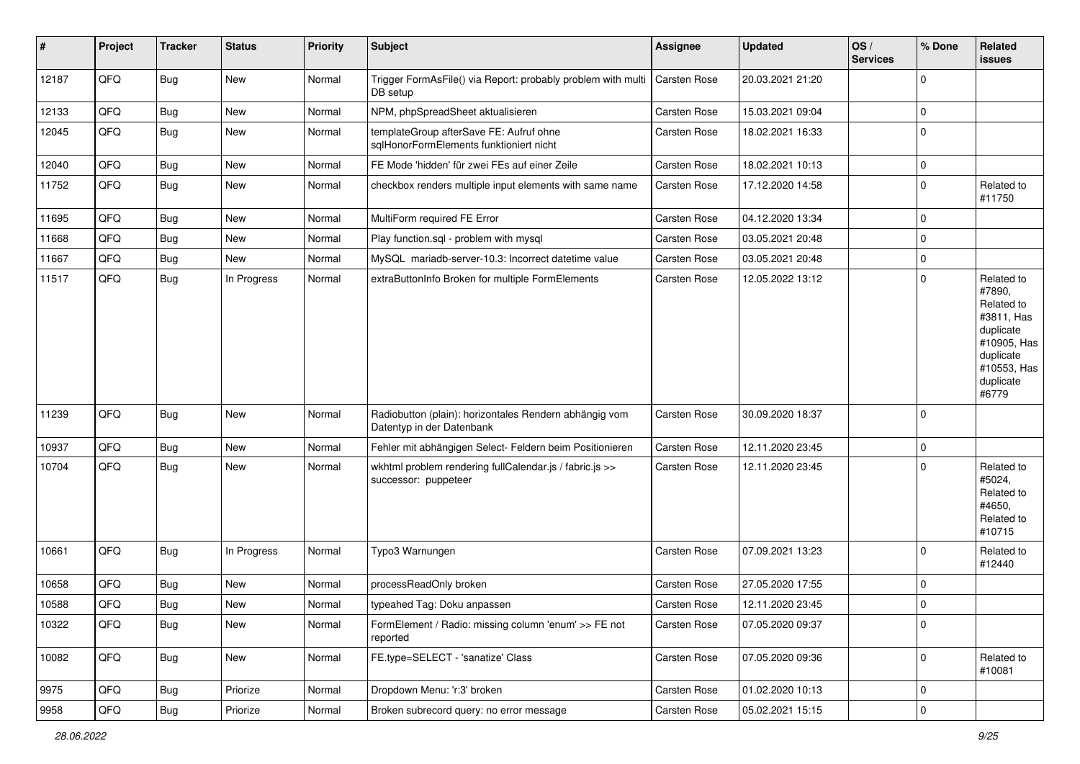| #     | Project | <b>Tracker</b> | <b>Status</b> | <b>Priority</b> | <b>Subject</b>                                                                      | <b>Assignee</b>     | <b>Updated</b>   | OS/<br><b>Services</b> | % Done      | Related<br>issues                                                                                                              |
|-------|---------|----------------|---------------|-----------------|-------------------------------------------------------------------------------------|---------------------|------------------|------------------------|-------------|--------------------------------------------------------------------------------------------------------------------------------|
| 12187 | QFQ     | <b>Bug</b>     | New           | Normal          | Trigger FormAsFile() via Report: probably problem with multi<br>DB setup            | Carsten Rose        | 20.03.2021 21:20 |                        | $\Omega$    |                                                                                                                                |
| 12133 | QFQ     | <b>Bug</b>     | New           | Normal          | NPM, phpSpreadSheet aktualisieren                                                   | Carsten Rose        | 15.03.2021 09:04 |                        | $\mathbf 0$ |                                                                                                                                |
| 12045 | QFQ     | Bug            | New           | Normal          | templateGroup afterSave FE: Aufruf ohne<br>sglHonorFormElements funktioniert nicht  | <b>Carsten Rose</b> | 18.02.2021 16:33 |                        | $\Omega$    |                                                                                                                                |
| 12040 | QFQ     | Bug            | New           | Normal          | FE Mode 'hidden' für zwei FEs auf einer Zeile                                       | <b>Carsten Rose</b> | 18.02.2021 10:13 |                        | $\mathbf 0$ |                                                                                                                                |
| 11752 | QFQ     | <b>Bug</b>     | New           | Normal          | checkbox renders multiple input elements with same name                             | <b>Carsten Rose</b> | 17.12.2020 14:58 |                        | $\mathbf 0$ | Related to<br>#11750                                                                                                           |
| 11695 | QFQ     | Bug            | New           | Normal          | MultiForm required FE Error                                                         | <b>Carsten Rose</b> | 04.12.2020 13:34 |                        | $\mathbf 0$ |                                                                                                                                |
| 11668 | QFQ     | Bug            | New           | Normal          | Play function.sql - problem with mysql                                              | <b>Carsten Rose</b> | 03.05.2021 20:48 |                        | $\mathbf 0$ |                                                                                                                                |
| 11667 | QFQ     | <b>Bug</b>     | New           | Normal          | MySQL mariadb-server-10.3: Incorrect datetime value                                 | <b>Carsten Rose</b> | 03.05.2021 20:48 |                        | $\mathbf 0$ |                                                                                                                                |
| 11517 | QFQ     | <b>Bug</b>     | In Progress   | Normal          | extraButtonInfo Broken for multiple FormElements                                    | Carsten Rose        | 12.05.2022 13:12 |                        | $\Omega$    | Related to<br>#7890,<br>Related to<br>#3811, Has<br>duplicate<br>#10905, Has<br>duplicate<br>#10553, Has<br>duplicate<br>#6779 |
| 11239 | QFQ     | <b>Bug</b>     | New           | Normal          | Radiobutton (plain): horizontales Rendern abhängig vom<br>Datentyp in der Datenbank | <b>Carsten Rose</b> | 30.09.2020 18:37 |                        | $\Omega$    |                                                                                                                                |
| 10937 | QFQ     | <b>Bug</b>     | New           | Normal          | Fehler mit abhängigen Select- Feldern beim Positionieren                            | Carsten Rose        | 12.11.2020 23:45 |                        | $\mathbf 0$ |                                                                                                                                |
| 10704 | QFQ     | <b>Bug</b>     | New           | Normal          | wkhtml problem rendering fullCalendar.js / fabric.js >><br>successor: puppeteer     | <b>Carsten Rose</b> | 12.11.2020 23:45 |                        | $\Omega$    | Related to<br>#5024,<br>Related to<br>#4650,<br>Related to<br>#10715                                                           |
| 10661 | QFQ     | Bug            | In Progress   | Normal          | Typo3 Warnungen                                                                     | <b>Carsten Rose</b> | 07.09.2021 13:23 |                        | $\Omega$    | Related to<br>#12440                                                                                                           |
| 10658 | QFQ     | Bug            | New           | Normal          | processReadOnly broken                                                              | Carsten Rose        | 27.05.2020 17:55 |                        | $\mathbf 0$ |                                                                                                                                |
| 10588 | QFQ     | Bug            | New           | Normal          | typeahed Tag: Doku anpassen                                                         | <b>Carsten Rose</b> | 12.11.2020 23:45 |                        | $\Omega$    |                                                                                                                                |
| 10322 | QFQ     | <b>Bug</b>     | New           | Normal          | FormElement / Radio: missing column 'enum' >> FE not<br>reported                    | Carsten Rose        | 07.05.2020 09:37 |                        | 0           |                                                                                                                                |
| 10082 | QFQ     | <b>Bug</b>     | New           | Normal          | FE.type=SELECT - 'sanatize' Class                                                   | Carsten Rose        | 07.05.2020 09:36 |                        | 0           | Related to<br>#10081                                                                                                           |
| 9975  | QFQ     | <b>Bug</b>     | Priorize      | Normal          | Dropdown Menu: 'r:3' broken                                                         | Carsten Rose        | 01.02.2020 10:13 |                        | $\mathbf 0$ |                                                                                                                                |
| 9958  | QFG     | Bug            | Priorize      | Normal          | Broken subrecord query: no error message                                            | Carsten Rose        | 05.02.2021 15:15 |                        | $\mathbf 0$ |                                                                                                                                |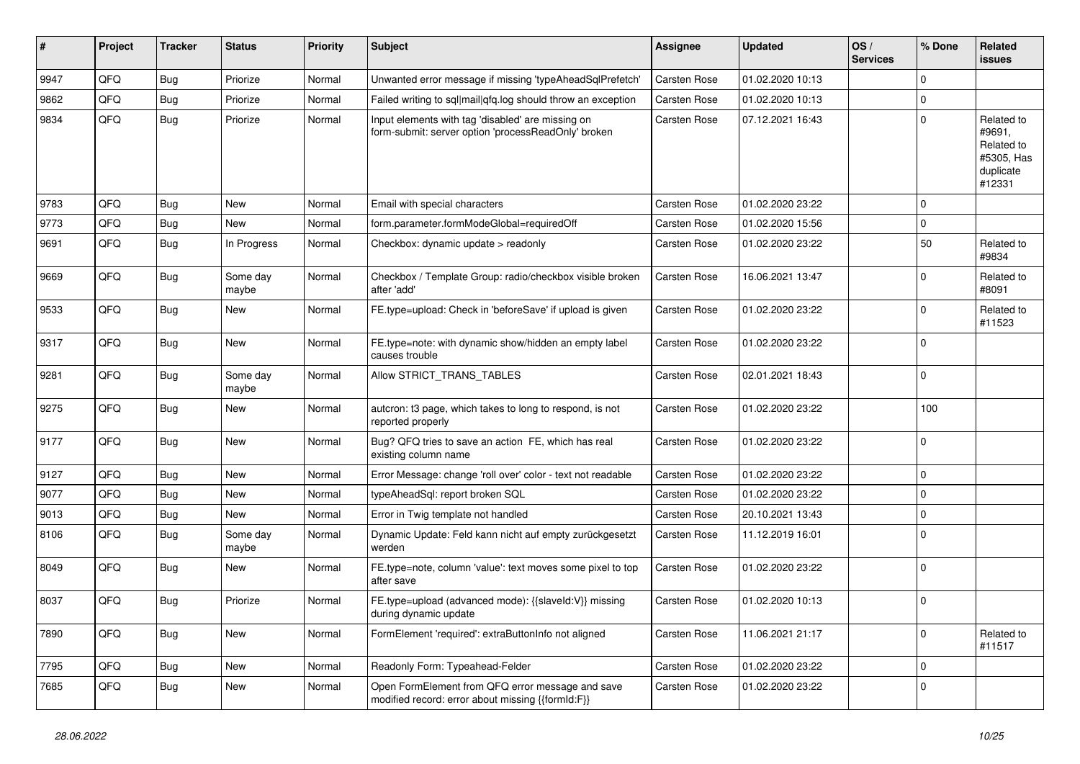| #    | Project | <b>Tracker</b> | <b>Status</b>     | <b>Priority</b> | Subject                                                                                                  | <b>Assignee</b>     | <b>Updated</b>   | OS/<br><b>Services</b> | % Done      | Related<br>issues                                                       |
|------|---------|----------------|-------------------|-----------------|----------------------------------------------------------------------------------------------------------|---------------------|------------------|------------------------|-------------|-------------------------------------------------------------------------|
| 9947 | QFQ     | <b>Bug</b>     | Priorize          | Normal          | Unwanted error message if missing 'typeAheadSqlPrefetch'                                                 | <b>Carsten Rose</b> | 01.02.2020 10:13 |                        | $\Omega$    |                                                                         |
| 9862 | QFQ     | <b>Bug</b>     | Priorize          | Normal          | Failed writing to sql mail qfq.log should throw an exception                                             | <b>Carsten Rose</b> | 01.02.2020 10:13 |                        | 0           |                                                                         |
| 9834 | QFQ     | <b>Bug</b>     | Priorize          | Normal          | Input elements with tag 'disabled' are missing on<br>form-submit: server option 'processReadOnly' broken | <b>Carsten Rose</b> | 07.12.2021 16:43 |                        | $\Omega$    | Related to<br>#9691,<br>Related to<br>#5305, Has<br>duplicate<br>#12331 |
| 9783 | QFQ     | <b>Bug</b>     | <b>New</b>        | Normal          | Email with special characters                                                                            | <b>Carsten Rose</b> | 01.02.2020 23:22 |                        | $\mathbf 0$ |                                                                         |
| 9773 | QFQ     | <b>Bug</b>     | New               | Normal          | form.parameter.formModeGlobal=requiredOff                                                                | <b>Carsten Rose</b> | 01.02.2020 15:56 |                        | 0           |                                                                         |
| 9691 | QFQ     | <b>Bug</b>     | In Progress       | Normal          | Checkbox: dynamic update > readonly                                                                      | Carsten Rose        | 01.02.2020 23:22 |                        | 50          | Related to<br>#9834                                                     |
| 9669 | QFQ     | Bug            | Some day<br>maybe | Normal          | Checkbox / Template Group: radio/checkbox visible broken<br>after 'add'                                  | <b>Carsten Rose</b> | 16.06.2021 13:47 |                        | $\Omega$    | Related to<br>#8091                                                     |
| 9533 | QFQ     | Bug            | <b>New</b>        | Normal          | FE.type=upload: Check in 'beforeSave' if upload is given                                                 | <b>Carsten Rose</b> | 01.02.2020 23:22 |                        | $\Omega$    | Related to<br>#11523                                                    |
| 9317 | QFQ     | <b>Bug</b>     | <b>New</b>        | Normal          | FE.type=note: with dynamic show/hidden an empty label<br>causes trouble                                  | <b>Carsten Rose</b> | 01.02.2020 23:22 |                        | $\mathbf 0$ |                                                                         |
| 9281 | QFQ     | <b>Bug</b>     | Some day<br>maybe | Normal          | Allow STRICT_TRANS_TABLES                                                                                | Carsten Rose        | 02.01.2021 18:43 |                        | 0           |                                                                         |
| 9275 | QFQ     | <b>Bug</b>     | New               | Normal          | autcron: t3 page, which takes to long to respond, is not<br>reported properly                            | <b>Carsten Rose</b> | 01.02.2020 23:22 |                        | 100         |                                                                         |
| 9177 | QFQ     | Bug            | New               | Normal          | Bug? QFQ tries to save an action FE, which has real<br>existing column name                              | Carsten Rose        | 01.02.2020 23:22 |                        | $\mathbf 0$ |                                                                         |
| 9127 | QFQ     | <b>Bug</b>     | <b>New</b>        | Normal          | Error Message: change 'roll over' color - text not readable                                              | <b>Carsten Rose</b> | 01.02.2020 23:22 |                        | $\mathbf 0$ |                                                                         |
| 9077 | QFQ     | <b>Bug</b>     | <b>New</b>        | Normal          | typeAheadSql: report broken SQL                                                                          | <b>Carsten Rose</b> | 01.02.2020 23:22 |                        | 0           |                                                                         |
| 9013 | QFQ     | <b>Bug</b>     | New               | Normal          | Error in Twig template not handled                                                                       | <b>Carsten Rose</b> | 20.10.2021 13:43 |                        | 0           |                                                                         |
| 8106 | QFQ     | <b>Bug</b>     | Some day<br>maybe | Normal          | Dynamic Update: Feld kann nicht auf empty zurückgesetzt<br>werden                                        | <b>Carsten Rose</b> | 11.12.2019 16:01 |                        | $\Omega$    |                                                                         |
| 8049 | QFQ     | <b>Bug</b>     | New               | Normal          | FE.type=note, column 'value': text moves some pixel to top<br>after save                                 | <b>Carsten Rose</b> | 01.02.2020 23:22 |                        | $\Omega$    |                                                                         |
| 8037 | QFQ     | <b>Bug</b>     | Priorize          | Normal          | FE.type=upload (advanced mode): {{slaveld: V}} missing<br>during dynamic update                          | <b>Carsten Rose</b> | 01.02.2020 10:13 |                        | $\mathbf 0$ |                                                                         |
| 7890 | QFQ     | Bug            | New               | Normal          | FormElement 'required': extraButtonInfo not aligned                                                      | <b>Carsten Rose</b> | 11.06.2021 21:17 |                        | $\mathbf 0$ | Related to<br>#11517                                                    |
| 7795 | QFQ     | Bug            | New               | Normal          | Readonly Form: Typeahead-Felder                                                                          | Carsten Rose        | 01.02.2020 23:22 |                        | $\mathbf 0$ |                                                                         |
| 7685 | QFQ     | Bug            | New               | Normal          | Open FormElement from QFQ error message and save<br>modified record: error about missing {{formId:F}}    | Carsten Rose        | 01.02.2020 23:22 |                        | $\mathbf 0$ |                                                                         |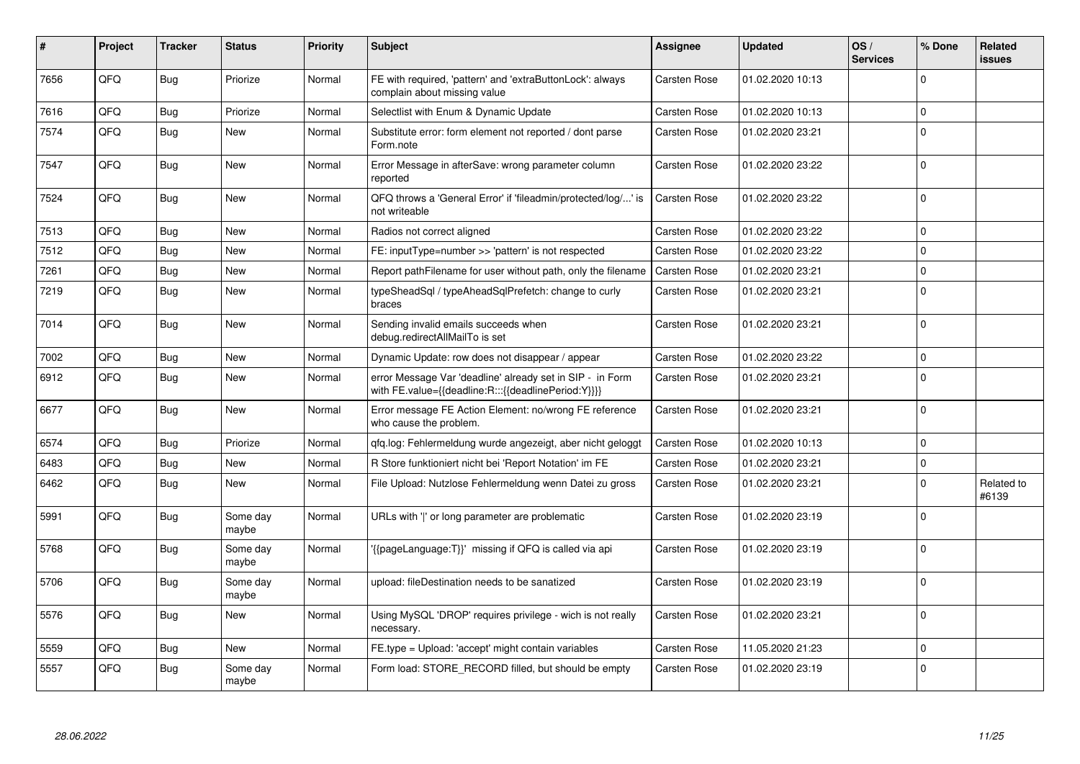| #    | Project | <b>Tracker</b> | <b>Status</b>     | <b>Priority</b> | <b>Subject</b>                                                                                                   | Assignee            | <b>Updated</b>   | OS/<br><b>Services</b> | % Done         | Related<br>issues   |
|------|---------|----------------|-------------------|-----------------|------------------------------------------------------------------------------------------------------------------|---------------------|------------------|------------------------|----------------|---------------------|
| 7656 | QFQ     | Bug            | Priorize          | Normal          | FE with required, 'pattern' and 'extraButtonLock': always<br>complain about missing value                        | Carsten Rose        | 01.02.2020 10:13 |                        | $\Omega$       |                     |
| 7616 | QFQ     | <b>Bug</b>     | Priorize          | Normal          | Selectlist with Enum & Dynamic Update                                                                            | <b>Carsten Rose</b> | 01.02.2020 10:13 |                        | $\mathbf 0$    |                     |
| 7574 | QFQ     | Bug            | <b>New</b>        | Normal          | Substitute error: form element not reported / dont parse<br>Form.note                                            | Carsten Rose        | 01.02.2020 23:21 |                        | $\Omega$       |                     |
| 7547 | QFQ     | Bug            | <b>New</b>        | Normal          | Error Message in afterSave: wrong parameter column<br>reported                                                   | Carsten Rose        | 01.02.2020 23:22 |                        | $\Omega$       |                     |
| 7524 | QFQ     | Bug            | <b>New</b>        | Normal          | QFQ throws a 'General Error' if 'fileadmin/protected/log/' is<br>not writeable                                   | <b>Carsten Rose</b> | 01.02.2020 23:22 |                        | $\Omega$       |                     |
| 7513 | QFQ     | <b>Bug</b>     | <b>New</b>        | Normal          | Radios not correct aligned                                                                                       | Carsten Rose        | 01.02.2020 23:22 |                        | $\mathbf 0$    |                     |
| 7512 | QFQ     | Bug            | <b>New</b>        | Normal          | FE: inputType=number >> 'pattern' is not respected                                                               | Carsten Rose        | 01.02.2020 23:22 |                        | $\mathbf 0$    |                     |
| 7261 | QFQ     | Bug            | <b>New</b>        | Normal          | Report pathFilename for user without path, only the filename                                                     | <b>Carsten Rose</b> | 01.02.2020 23:21 |                        | 0 I            |                     |
| 7219 | QFQ     | <b>Bug</b>     | <b>New</b>        | Normal          | typeSheadSql / typeAheadSqlPrefetch: change to curly<br>braces                                                   | Carsten Rose        | 01.02.2020 23:21 |                        | $\Omega$       |                     |
| 7014 | QFQ     | Bug            | <b>New</b>        | Normal          | Sending invalid emails succeeds when<br>debug.redirectAllMailTo is set                                           | Carsten Rose        | 01.02.2020 23:21 |                        | 0              |                     |
| 7002 | QFQ     | Bug            | New               | Normal          | Dynamic Update: row does not disappear / appear                                                                  | Carsten Rose        | 01.02.2020 23:22 |                        | $\mathbf 0$    |                     |
| 6912 | QFQ     | Bug            | <b>New</b>        | Normal          | error Message Var 'deadline' already set in SIP - in Form<br>with FE.value={{deadline:R:::{{deadlinePeriod:Y}}}} | Carsten Rose        | 01.02.2020 23:21 |                        | 0              |                     |
| 6677 | QFQ     | Bug            | <b>New</b>        | Normal          | Error message FE Action Element: no/wrong FE reference<br>who cause the problem.                                 | Carsten Rose        | 01.02.2020 23:21 |                        | $\Omega$       |                     |
| 6574 | QFQ     | Bug            | Priorize          | Normal          | gfg.log: Fehlermeldung wurde angezeigt, aber nicht geloggt                                                       | Carsten Rose        | 01.02.2020 10:13 |                        | 0              |                     |
| 6483 | QFQ     | <b>Bug</b>     | <b>New</b>        | Normal          | R Store funktioniert nicht bei 'Report Notation' im FE                                                           | Carsten Rose        | 01.02.2020 23:21 |                        | $\Omega$       |                     |
| 6462 | QFQ     | <b>Bug</b>     | <b>New</b>        | Normal          | File Upload: Nutzlose Fehlermeldung wenn Datei zu gross                                                          | Carsten Rose        | 01.02.2020 23:21 |                        | $\Omega$       | Related to<br>#6139 |
| 5991 | QFQ     | Bug            | Some day<br>maybe | Normal          | URLs with 'I' or long parameter are problematic                                                                  | Carsten Rose        | 01.02.2020 23:19 |                        | $\Omega$       |                     |
| 5768 | QFQ     | Bug            | Some day<br>maybe | Normal          | '{{pageLanguage:T}}' missing if QFQ is called via api                                                            | Carsten Rose        | 01.02.2020 23:19 |                        | 0              |                     |
| 5706 | QFQ     | <b>Bug</b>     | Some day<br>maybe | Normal          | upload: fileDestination needs to be sanatized                                                                    | Carsten Rose        | 01.02.2020 23:19 |                        | $\Omega$       |                     |
| 5576 | QFQ     | <b>Bug</b>     | <b>New</b>        | Normal          | Using MySQL 'DROP' requires privilege - wich is not really<br>necessary.                                         | <b>Carsten Rose</b> | 01.02.2020 23:21 |                        | 0              |                     |
| 5559 | QFQ     | Bug            | <b>New</b>        | Normal          | FE.type = Upload: 'accept' might contain variables                                                               | <b>Carsten Rose</b> | 11.05.2020 21:23 |                        | $\Omega$       |                     |
| 5557 | QFQ     | Bug            | Some day<br>maybe | Normal          | Form load: STORE_RECORD filled, but should be empty                                                              | Carsten Rose        | 01.02.2020 23:19 |                        | $\overline{0}$ |                     |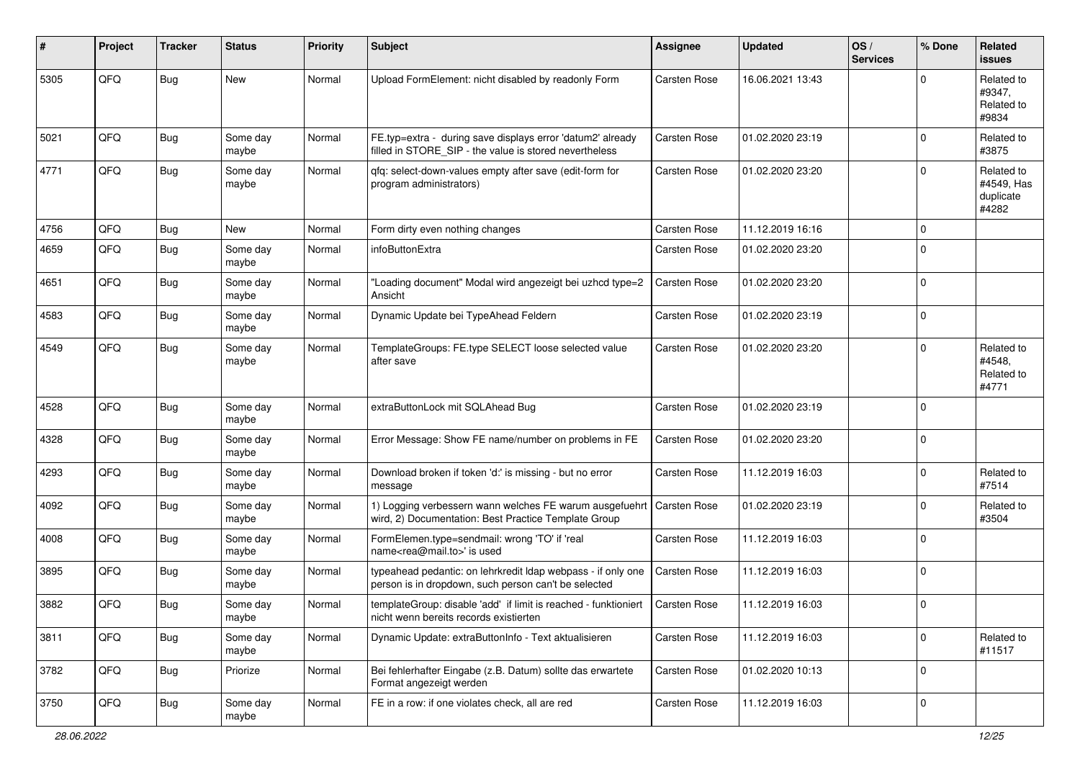| ∦    | Project | <b>Tracker</b> | <b>Status</b>     | <b>Priority</b> | <b>Subject</b>                                                                                                       | Assignee            | <b>Updated</b>   | OS/<br><b>Services</b> | % Done      | <b>Related</b><br><b>issues</b>                |
|------|---------|----------------|-------------------|-----------------|----------------------------------------------------------------------------------------------------------------------|---------------------|------------------|------------------------|-------------|------------------------------------------------|
| 5305 | QFQ     | <b>Bug</b>     | New               | Normal          | Upload FormElement: nicht disabled by readonly Form                                                                  | Carsten Rose        | 16.06.2021 13:43 |                        | $\mathbf 0$ | Related to<br>#9347,<br>Related to<br>#9834    |
| 5021 | QFQ     | Bug            | Some day<br>maybe | Normal          | FE.typ=extra - during save displays error 'datum2' already<br>filled in STORE_SIP - the value is stored nevertheless | Carsten Rose        | 01.02.2020 23:19 |                        | $\Omega$    | Related to<br>#3875                            |
| 4771 | QFQ     | <b>Bug</b>     | Some day<br>maybe | Normal          | qfq: select-down-values empty after save (edit-form for<br>program administrators)                                   | Carsten Rose        | 01.02.2020 23:20 |                        | $\mathbf 0$ | Related to<br>#4549, Has<br>duplicate<br>#4282 |
| 4756 | QFQ     | <b>Bug</b>     | New               | Normal          | Form dirty even nothing changes                                                                                      | Carsten Rose        | 11.12.2019 16:16 |                        | $\mathbf 0$ |                                                |
| 4659 | QFQ     | <b>Bug</b>     | Some day<br>maybe | Normal          | infoButtonExtra                                                                                                      | Carsten Rose        | 01.02.2020 23:20 |                        | $\mathbf 0$ |                                                |
| 4651 | QFQ     | Bug            | Some day<br>maybe | Normal          | 'Loading document" Modal wird angezeigt bei uzhcd type=2<br>Ansicht                                                  | Carsten Rose        | 01.02.2020 23:20 |                        | $\mathbf 0$ |                                                |
| 4583 | QFQ     | <b>Bug</b>     | Some day<br>maybe | Normal          | Dynamic Update bei TypeAhead Feldern                                                                                 | Carsten Rose        | 01.02.2020 23:19 |                        | $\mathbf 0$ |                                                |
| 4549 | QFQ     | Bug            | Some day<br>maybe | Normal          | TemplateGroups: FE.type SELECT loose selected value<br>after save                                                    | Carsten Rose        | 01.02.2020 23:20 |                        | $\mathbf 0$ | Related to<br>#4548.<br>Related to<br>#4771    |
| 4528 | QFQ     | Bug            | Some day<br>maybe | Normal          | extraButtonLock mit SQLAhead Bug                                                                                     | Carsten Rose        | 01.02.2020 23:19 |                        | $\mathbf 0$ |                                                |
| 4328 | QFQ     | Bug            | Some day<br>maybe | Normal          | Error Message: Show FE name/number on problems in FE                                                                 | Carsten Rose        | 01.02.2020 23:20 |                        | $\mathbf 0$ |                                                |
| 4293 | QFQ     | <b>Bug</b>     | Some day<br>maybe | Normal          | Download broken if token 'd:' is missing - but no error<br>message                                                   | Carsten Rose        | 11.12.2019 16:03 |                        | $\mathbf 0$ | Related to<br>#7514                            |
| 4092 | QFQ     | Bug            | Some day<br>maybe | Normal          | 1) Logging verbessern wann welches FE warum ausgefuehrt<br>wird, 2) Documentation: Best Practice Template Group      | <b>Carsten Rose</b> | 01.02.2020 23:19 |                        | $\mathbf 0$ | Related to<br>#3504                            |
| 4008 | QFQ     | Bug            | Some day<br>maybe | Normal          | FormElemen.type=sendmail: wrong 'TO' if 'real<br>name <rea@mail.to>' is used</rea@mail.to>                           | Carsten Rose        | 11.12.2019 16:03 |                        | $\mathbf 0$ |                                                |
| 3895 | QFQ     | Bug            | Some day<br>maybe | Normal          | typeahead pedantic: on lehrkredit Idap webpass - if only one<br>person is in dropdown, such person can't be selected | <b>Carsten Rose</b> | 11.12.2019 16:03 |                        | $\mathbf 0$ |                                                |
| 3882 | QFQ     | Bug            | Some day<br>maybe | Normal          | templateGroup: disable 'add' if limit is reached - funktioniert<br>nicht wenn bereits records existierten            | Carsten Rose        | 11.12.2019 16:03 |                        | $\mathbf 0$ |                                                |
| 3811 | QFQ     | Bug            | Some day<br>maybe | Normal          | Dynamic Update: extraButtonInfo - Text aktualisieren                                                                 | Carsten Rose        | 11.12.2019 16:03 |                        | $\mathbf 0$ | Related to<br>#11517                           |
| 3782 | QFQ     | Bug            | Priorize          | Normal          | Bei fehlerhafter Eingabe (z.B. Datum) sollte das erwartete<br>Format angezeigt werden                                | Carsten Rose        | 01.02.2020 10:13 |                        | $\mathbf 0$ |                                                |
| 3750 | QFG     | Bug            | Some day<br>maybe | Normal          | FE in a row: if one violates check, all are red                                                                      | Carsten Rose        | 11.12.2019 16:03 |                        | 0           |                                                |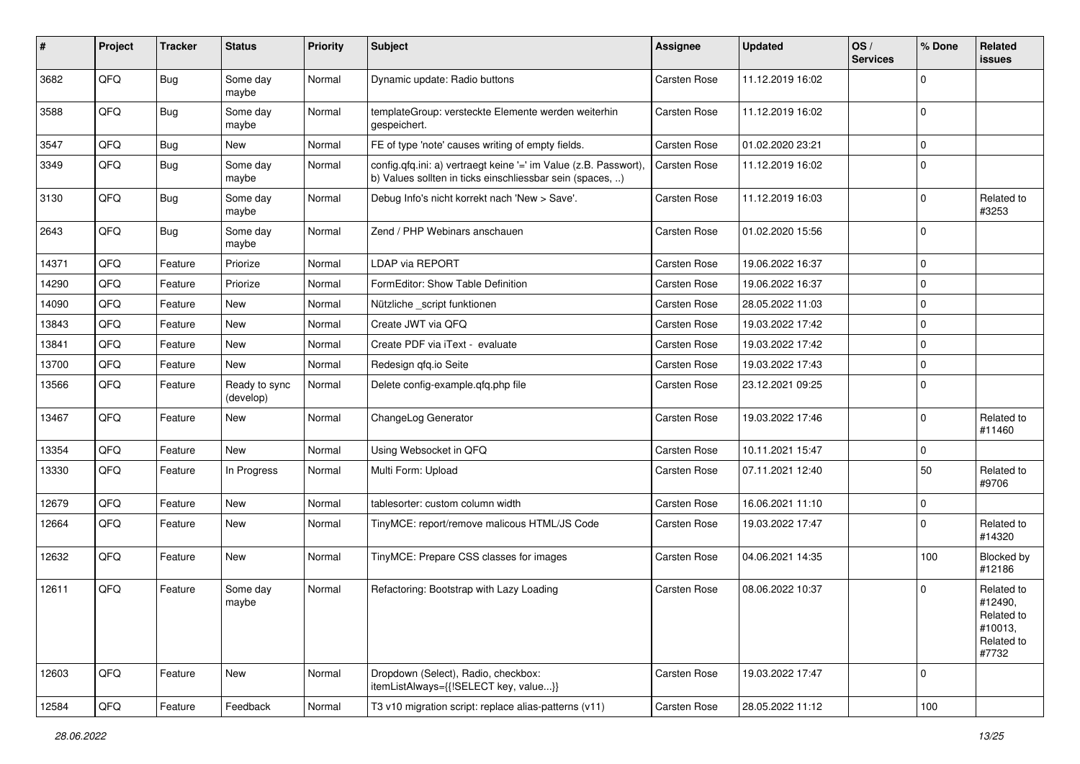| #     | Project | <b>Tracker</b> | <b>Status</b>              | <b>Priority</b> | <b>Subject</b>                                                                                                                | Assignee            | <b>Updated</b>   | OS/<br><b>Services</b> | % Done      | Related<br>issues                                                     |
|-------|---------|----------------|----------------------------|-----------------|-------------------------------------------------------------------------------------------------------------------------------|---------------------|------------------|------------------------|-------------|-----------------------------------------------------------------------|
| 3682  | QFQ     | <b>Bug</b>     | Some day<br>maybe          | Normal          | Dynamic update: Radio buttons                                                                                                 | <b>Carsten Rose</b> | 11.12.2019 16:02 |                        | $\Omega$    |                                                                       |
| 3588  | QFQ     | Bug            | Some day<br>maybe          | Normal          | templateGroup: versteckte Elemente werden weiterhin<br>gespeichert.                                                           | <b>Carsten Rose</b> | 11.12.2019 16:02 |                        | $\mathbf 0$ |                                                                       |
| 3547  | QFQ     | <b>Bug</b>     | New                        | Normal          | FE of type 'note' causes writing of empty fields.                                                                             | <b>Carsten Rose</b> | 01.02.2020 23:21 |                        | $\mathbf 0$ |                                                                       |
| 3349  | QFQ     | <b>Bug</b>     | Some day<br>maybe          | Normal          | config.qfq.ini: a) vertraegt keine '=' im Value (z.B. Passwort),<br>b) Values sollten in ticks einschliessbar sein (spaces, ) | Carsten Rose        | 11.12.2019 16:02 |                        | $\mathbf 0$ |                                                                       |
| 3130  | QFQ     | Bug            | Some day<br>maybe          | Normal          | Debug Info's nicht korrekt nach 'New > Save'.                                                                                 | Carsten Rose        | 11.12.2019 16:03 |                        | $\Omega$    | Related to<br>#3253                                                   |
| 2643  | QFQ     | <b>Bug</b>     | Some day<br>maybe          | Normal          | Zend / PHP Webinars anschauen                                                                                                 | Carsten Rose        | 01.02.2020 15:56 |                        | 0           |                                                                       |
| 14371 | QFQ     | Feature        | Priorize                   | Normal          | LDAP via REPORT                                                                                                               | <b>Carsten Rose</b> | 19.06.2022 16:37 |                        | $\mathbf 0$ |                                                                       |
| 14290 | QFQ     | Feature        | Priorize                   | Normal          | FormEditor: Show Table Definition                                                                                             | <b>Carsten Rose</b> | 19.06.2022 16:37 |                        | $\mathbf 0$ |                                                                       |
| 14090 | QFQ     | Feature        | New                        | Normal          | Nützliche _script funktionen                                                                                                  | Carsten Rose        | 28.05.2022 11:03 |                        | $\mathbf 0$ |                                                                       |
| 13843 | QFQ     | Feature        | <b>New</b>                 | Normal          | Create JWT via QFQ                                                                                                            | <b>Carsten Rose</b> | 19.03.2022 17:42 |                        | $\mathbf 0$ |                                                                       |
| 13841 | QFQ     | Feature        | New                        | Normal          | Create PDF via iText - evaluate                                                                                               | <b>Carsten Rose</b> | 19.03.2022 17:42 |                        | $\mathbf 0$ |                                                                       |
| 13700 | QFQ     | Feature        | <b>New</b>                 | Normal          | Redesign qfq.io Seite                                                                                                         | <b>Carsten Rose</b> | 19.03.2022 17:43 |                        | $\mathbf 0$ |                                                                       |
| 13566 | QFQ     | Feature        | Ready to sync<br>(develop) | Normal          | Delete config-example.qfq.php file                                                                                            | <b>Carsten Rose</b> | 23.12.2021 09:25 |                        | 0           |                                                                       |
| 13467 | QFQ     | Feature        | New                        | Normal          | ChangeLog Generator                                                                                                           | <b>Carsten Rose</b> | 19.03.2022 17:46 |                        | $\mathbf 0$ | Related to<br>#11460                                                  |
| 13354 | QFQ     | Feature        | New                        | Normal          | Using Websocket in QFQ                                                                                                        | Carsten Rose        | 10.11.2021 15:47 |                        | $\mathbf 0$ |                                                                       |
| 13330 | QFQ     | Feature        | In Progress                | Normal          | Multi Form: Upload                                                                                                            | <b>Carsten Rose</b> | 07.11.2021 12:40 |                        | 50          | Related to<br>#9706                                                   |
| 12679 | QFQ     | Feature        | New                        | Normal          | tablesorter: custom column width                                                                                              | Carsten Rose        | 16.06.2021 11:10 |                        | $\mathbf 0$ |                                                                       |
| 12664 | QFQ     | Feature        | New                        | Normal          | TinyMCE: report/remove malicous HTML/JS Code                                                                                  | Carsten Rose        | 19.03.2022 17:47 |                        | 0           | Related to<br>#14320                                                  |
| 12632 | QFQ     | Feature        | New                        | Normal          | TinyMCE: Prepare CSS classes for images                                                                                       | <b>Carsten Rose</b> | 04.06.2021 14:35 |                        | 100         | Blocked by<br>#12186                                                  |
| 12611 | QFQ     | Feature        | Some day<br>maybe          | Normal          | Refactoring: Bootstrap with Lazy Loading                                                                                      | <b>Carsten Rose</b> | 08.06.2022 10:37 |                        | $\Omega$    | Related to<br>#12490,<br>Related to<br>#10013,<br>Related to<br>#7732 |
| 12603 | QFQ     | Feature        | New                        | Normal          | Dropdown (Select), Radio, checkbox:<br>itemListAlways={{!SELECT key, value}}                                                  | Carsten Rose        | 19.03.2022 17:47 |                        | $\mathbf 0$ |                                                                       |
| 12584 | QFQ     | Feature        | Feedback                   | Normal          | T3 v10 migration script: replace alias-patterns (v11)                                                                         | Carsten Rose        | 28.05.2022 11:12 |                        | 100         |                                                                       |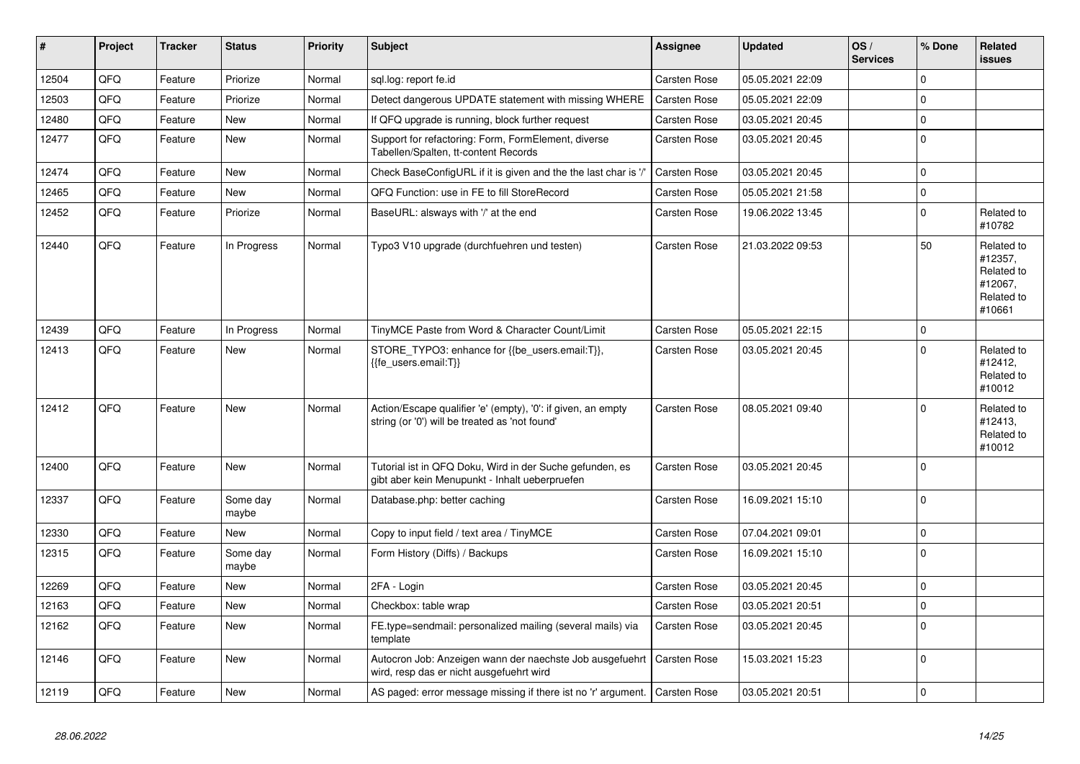| ∥ #   | <b>Project</b> | <b>Tracker</b> | <b>Status</b>     | <b>Priority</b> | <b>Subject</b>                                                                                                 | Assignee            | <b>Updated</b>   | OS/<br><b>Services</b> | % Done      | Related<br><b>issues</b>                                               |
|-------|----------------|----------------|-------------------|-----------------|----------------------------------------------------------------------------------------------------------------|---------------------|------------------|------------------------|-------------|------------------------------------------------------------------------|
| 12504 | QFQ            | Feature        | Priorize          | Normal          | sql.log: report fe.id                                                                                          | Carsten Rose        | 05.05.2021 22:09 |                        | $\Omega$    |                                                                        |
| 12503 | QFQ            | Feature        | Priorize          | Normal          | Detect dangerous UPDATE statement with missing WHERE                                                           | <b>Carsten Rose</b> | 05.05.2021 22:09 |                        | $\Omega$    |                                                                        |
| 12480 | QFQ            | Feature        | <b>New</b>        | Normal          | If QFQ upgrade is running, block further request                                                               | Carsten Rose        | 03.05.2021 20:45 |                        | $\mathbf 0$ |                                                                        |
| 12477 | QFQ            | Feature        | New               | Normal          | Support for refactoring: Form, FormElement, diverse<br>Tabellen/Spalten, tt-content Records                    | Carsten Rose        | 03.05.2021 20:45 |                        | $\Omega$    |                                                                        |
| 12474 | QFQ            | Feature        | <b>New</b>        | Normal          | Check BaseConfigURL if it is given and the the last char is '/'                                                | Carsten Rose        | 03.05.2021 20:45 |                        | $\Omega$    |                                                                        |
| 12465 | QFQ            | Feature        | <b>New</b>        | Normal          | QFQ Function: use in FE to fill StoreRecord                                                                    | Carsten Rose        | 05.05.2021 21:58 |                        | $\Omega$    |                                                                        |
| 12452 | QFQ            | Feature        | Priorize          | Normal          | BaseURL: alsways with '/' at the end                                                                           | <b>Carsten Rose</b> | 19.06.2022 13:45 |                        | $\Omega$    | Related to<br>#10782                                                   |
| 12440 | QFQ            | Feature        | In Progress       | Normal          | Typo3 V10 upgrade (durchfuehren und testen)                                                                    | Carsten Rose        | 21.03.2022 09:53 |                        | 50          | Related to<br>#12357,<br>Related to<br>#12067,<br>Related to<br>#10661 |
| 12439 | QFQ            | Feature        | In Progress       | Normal          | TinyMCE Paste from Word & Character Count/Limit                                                                | Carsten Rose        | 05.05.2021 22:15 |                        | $\Omega$    |                                                                        |
| 12413 | QFQ            | Feature        | <b>New</b>        | Normal          | STORE_TYPO3: enhance for {{be_users.email:T}},<br>{{fe_users.email:T}}                                         | Carsten Rose        | 03.05.2021 20:45 |                        | $\Omega$    | Related to<br>#12412,<br>Related to<br>#10012                          |
| 12412 | QFQ            | Feature        | <b>New</b>        | Normal          | Action/Escape qualifier 'e' (empty), '0': if given, an empty<br>string (or '0') will be treated as 'not found' | Carsten Rose        | 08.05.2021 09:40 |                        | $\Omega$    | Related to<br>#12413.<br>Related to<br>#10012                          |
| 12400 | QFQ            | Feature        | <b>New</b>        | Normal          | Tutorial ist in QFQ Doku, Wird in der Suche gefunden, es<br>gibt aber kein Menupunkt - Inhalt ueberpruefen     | Carsten Rose        | 03.05.2021 20:45 |                        | $\Omega$    |                                                                        |
| 12337 | QFQ            | Feature        | Some day<br>maybe | Normal          | Database.php: better caching                                                                                   | Carsten Rose        | 16.09.2021 15:10 |                        | $\Omega$    |                                                                        |
| 12330 | QFQ            | Feature        | <b>New</b>        | Normal          | Copy to input field / text area / TinyMCE                                                                      | Carsten Rose        | 07.04.2021 09:01 |                        | $\Omega$    |                                                                        |
| 12315 | QFQ            | Feature        | Some day<br>maybe | Normal          | Form History (Diffs) / Backups                                                                                 | Carsten Rose        | 16.09.2021 15:10 |                        | $\Omega$    |                                                                        |
| 12269 | QFQ            | Feature        | <b>New</b>        | Normal          | 2FA - Login                                                                                                    | <b>Carsten Rose</b> | 03.05.2021 20:45 |                        | $\Omega$    |                                                                        |
| 12163 | QFQ            | Feature        | New               | Normal          | Checkbox: table wrap                                                                                           | <b>Carsten Rose</b> | 03.05.2021 20:51 |                        | $\Omega$    |                                                                        |
| 12162 | QFQ            | Feature        | New               | Normal          | FE.type=sendmail: personalized mailing (several mails) via<br>template                                         | <b>Carsten Rose</b> | 03.05.2021 20:45 |                        | $\Omega$    |                                                                        |
| 12146 | QFQ            | Feature        | New               | Normal          | Autocron Job: Anzeigen wann der naechste Job ausgefuehrt<br>wird, resp das er nicht ausgefuehrt wird           | Carsten Rose        | 15.03.2021 15:23 |                        | $\Omega$    |                                                                        |
| 12119 | QFQ            | Feature        | New               | Normal          | AS paged: error message missing if there ist no 'r' argument.   Carsten Rose                                   |                     | 03.05.2021 20:51 |                        | $\Omega$    |                                                                        |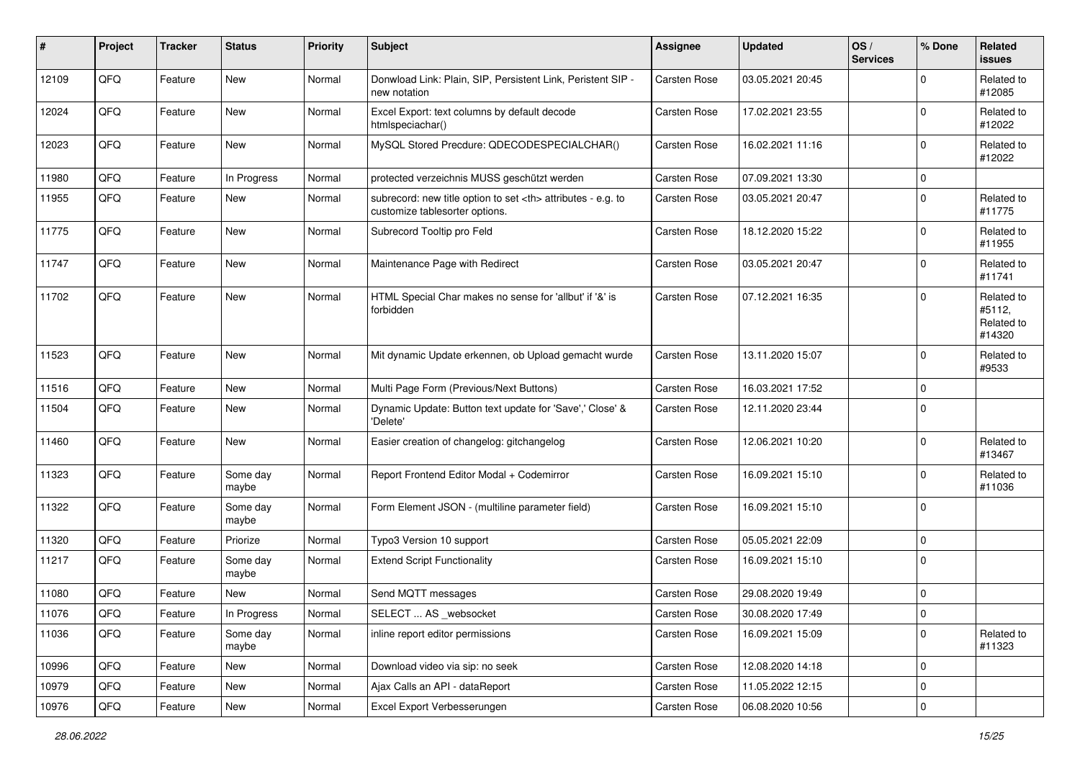| #     | Project | <b>Tracker</b> | <b>Status</b>     | <b>Priority</b> | <b>Subject</b>                                                                                       | Assignee                                               | <b>Updated</b>   | OS/<br><b>Services</b> | % Done      | Related<br><b>issues</b>                     |                      |
|-------|---------|----------------|-------------------|-----------------|------------------------------------------------------------------------------------------------------|--------------------------------------------------------|------------------|------------------------|-------------|----------------------------------------------|----------------------|
| 12109 | QFQ     | Feature        | New               | Normal          | Donwload Link: Plain, SIP, Persistent Link, Peristent SIP -<br>new notation                          | Carsten Rose                                           | 03.05.2021 20:45 |                        | $\mathbf 0$ | Related to<br>#12085                         |                      |
| 12024 | QFQ     | Feature        | New               | Normal          | Excel Export: text columns by default decode<br>htmlspeciachar()                                     | Carsten Rose                                           | 17.02.2021 23:55 |                        | $\mathbf 0$ | Related to<br>#12022                         |                      |
| 12023 | QFQ     | Feature        | New               | Normal          | MySQL Stored Precdure: QDECODESPECIALCHAR()                                                          | Carsten Rose                                           | 16.02.2021 11:16 |                        | $\mathbf 0$ | Related to<br>#12022                         |                      |
| 11980 | QFQ     | Feature        | In Progress       | Normal          | protected verzeichnis MUSS geschützt werden                                                          | Carsten Rose                                           | 07.09.2021 13:30 |                        | $\mathbf 0$ |                                              |                      |
| 11955 | QFQ     | Feature        | New               | Normal          | subrecord: new title option to set <th> attributes - e.g. to<br/>customize tablesorter options.</th> | attributes - e.g. to<br>customize tablesorter options. | Carsten Rose     | 03.05.2021 20:47       |             | $\mathbf 0$                                  | Related to<br>#11775 |
| 11775 | QFQ     | Feature        | New               | Normal          | Subrecord Tooltip pro Feld                                                                           | Carsten Rose                                           | 18.12.2020 15:22 |                        | $\mathbf 0$ | Related to<br>#11955                         |                      |
| 11747 | QFQ     | Feature        | <b>New</b>        | Normal          | Maintenance Page with Redirect                                                                       | Carsten Rose                                           | 03.05.2021 20:47 |                        | $\mathbf 0$ | Related to<br>#11741                         |                      |
| 11702 | QFQ     | Feature        | New               | Normal          | HTML Special Char makes no sense for 'allbut' if '&' is<br>forbidden                                 | Carsten Rose                                           | 07.12.2021 16:35 |                        | $\mathbf 0$ | Related to<br>#5112,<br>Related to<br>#14320 |                      |
| 11523 | QFQ     | Feature        | New               | Normal          | Mit dynamic Update erkennen, ob Upload gemacht wurde                                                 | Carsten Rose                                           | 13.11.2020 15:07 |                        | $\mathbf 0$ | Related to<br>#9533                          |                      |
| 11516 | QFQ     | Feature        | <b>New</b>        | Normal          | Multi Page Form (Previous/Next Buttons)                                                              | Carsten Rose                                           | 16.03.2021 17:52 |                        | $\mathbf 0$ |                                              |                      |
| 11504 | QFQ     | Feature        | New               | Normal          | Dynamic Update: Button text update for 'Save',' Close' &<br>'Delete'                                 | Carsten Rose                                           | 12.11.2020 23:44 |                        | $\mathbf 0$ |                                              |                      |
| 11460 | QFQ     | Feature        | New               | Normal          | Easier creation of changelog: gitchangelog                                                           | Carsten Rose                                           | 12.06.2021 10:20 |                        | $\mathbf 0$ | Related to<br>#13467                         |                      |
| 11323 | QFQ     | Feature        | Some day<br>maybe | Normal          | Report Frontend Editor Modal + Codemirror                                                            | Carsten Rose                                           | 16.09.2021 15:10 |                        | $\mathbf 0$ | Related to<br>#11036                         |                      |
| 11322 | QFQ     | Feature        | Some day<br>maybe | Normal          | Form Element JSON - (multiline parameter field)                                                      | Carsten Rose                                           | 16.09.2021 15:10 |                        | $\mathbf 0$ |                                              |                      |
| 11320 | QFQ     | Feature        | Priorize          | Normal          | Typo3 Version 10 support                                                                             | Carsten Rose                                           | 05.05.2021 22:09 |                        | $\mathbf 0$ |                                              |                      |
| 11217 | QFQ     | Feature        | Some day<br>maybe | Normal          | <b>Extend Script Functionality</b>                                                                   | Carsten Rose                                           | 16.09.2021 15:10 |                        | $\mathbf 0$ |                                              |                      |
| 11080 | QFQ     | Feature        | New               | Normal          | Send MQTT messages                                                                                   | Carsten Rose                                           | 29.08.2020 19:49 |                        | $\mathsf 0$ |                                              |                      |
| 11076 | QFQ     | Feature        | In Progress       | Normal          | SELECT  AS _websocket                                                                                | Carsten Rose                                           | 30.08.2020 17:49 |                        | $\mathsf 0$ |                                              |                      |
| 11036 | QFQ     | Feature        | Some day<br>maybe | Normal          | inline report editor permissions                                                                     | Carsten Rose                                           | 16.09.2021 15:09 |                        | $\mathbf 0$ | Related to<br>#11323                         |                      |
| 10996 | QFQ     | Feature        | New               | Normal          | Download video via sip: no seek                                                                      | Carsten Rose                                           | 12.08.2020 14:18 |                        | $\mathbf 0$ |                                              |                      |
| 10979 | QFQ     | Feature        | New               | Normal          | Ajax Calls an API - dataReport                                                                       | Carsten Rose                                           | 11.05.2022 12:15 |                        | $\mathsf 0$ |                                              |                      |
| 10976 | QFG     | Feature        | New               | Normal          | Excel Export Verbesserungen                                                                          | Carsten Rose                                           | 06.08.2020 10:56 |                        | $\pmb{0}$   |                                              |                      |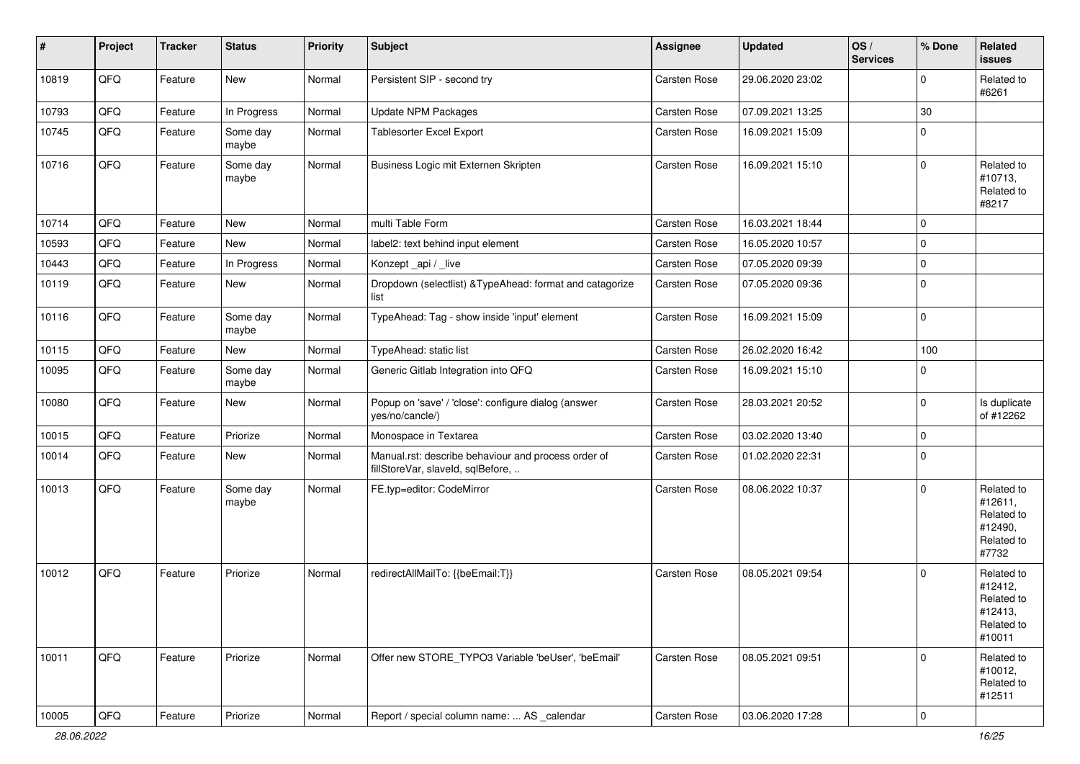| #     | Project | <b>Tracker</b> | <b>Status</b>     | <b>Priority</b> | Subject                                                                                  | Assignee            | <b>Updated</b>   | OS/<br><b>Services</b> | % Done       | Related<br><b>issues</b>                                               |
|-------|---------|----------------|-------------------|-----------------|------------------------------------------------------------------------------------------|---------------------|------------------|------------------------|--------------|------------------------------------------------------------------------|
| 10819 | QFQ     | Feature        | New               | Normal          | Persistent SIP - second try                                                              | Carsten Rose        | 29.06.2020 23:02 |                        | <sup>0</sup> | Related to<br>#6261                                                    |
| 10793 | QFQ     | Feature        | In Progress       | Normal          | <b>Update NPM Packages</b>                                                               | <b>Carsten Rose</b> | 07.09.2021 13:25 |                        | 30           |                                                                        |
| 10745 | QFQ     | Feature        | Some day<br>maybe | Normal          | <b>Tablesorter Excel Export</b>                                                          | Carsten Rose        | 16.09.2021 15:09 |                        | 0            |                                                                        |
| 10716 | QFQ     | Feature        | Some day<br>maybe | Normal          | Business Logic mit Externen Skripten                                                     | <b>Carsten Rose</b> | 16.09.2021 15:10 |                        | $\Omega$     | Related to<br>#10713,<br>Related to<br>#8217                           |
| 10714 | QFQ     | Feature        | New               | Normal          | multi Table Form                                                                         | <b>Carsten Rose</b> | 16.03.2021 18:44 |                        | $\mathbf 0$  |                                                                        |
| 10593 | QFQ     | Feature        | <b>New</b>        | Normal          | label2: text behind input element                                                        | Carsten Rose        | 16.05.2020 10:57 |                        | 0            |                                                                        |
| 10443 | QFQ     | Feature        | In Progress       | Normal          | Konzept_api / _live                                                                      | <b>Carsten Rose</b> | 07.05.2020 09:39 |                        | $\mathbf 0$  |                                                                        |
| 10119 | QFQ     | Feature        | New               | Normal          | Dropdown (selectlist) & TypeAhead: format and catagorize<br>list                         | <b>Carsten Rose</b> | 07.05.2020 09:36 |                        | $\Omega$     |                                                                        |
| 10116 | QFQ     | Feature        | Some day<br>maybe | Normal          | TypeAhead: Tag - show inside 'input' element                                             | <b>Carsten Rose</b> | 16.09.2021 15:09 |                        | $\Omega$     |                                                                        |
| 10115 | QFQ     | Feature        | <b>New</b>        | Normal          | TypeAhead: static list                                                                   | <b>Carsten Rose</b> | 26.02.2020 16:42 |                        | 100          |                                                                        |
| 10095 | QFQ     | Feature        | Some day<br>maybe | Normal          | Generic Gitlab Integration into QFQ                                                      | Carsten Rose        | 16.09.2021 15:10 |                        | $\mathbf 0$  |                                                                        |
| 10080 | QFQ     | Feature        | <b>New</b>        | Normal          | Popup on 'save' / 'close': configure dialog (answer<br>yes/no/cancle/)                   | <b>Carsten Rose</b> | 28.03.2021 20:52 |                        | $\Omega$     | Is duplicate<br>of #12262                                              |
| 10015 | QFQ     | Feature        | Priorize          | Normal          | Monospace in Textarea                                                                    | <b>Carsten Rose</b> | 03.02.2020 13:40 |                        | $\Omega$     |                                                                        |
| 10014 | QFQ     | Feature        | New               | Normal          | Manual.rst: describe behaviour and process order of<br>fillStoreVar, slaveId, sqlBefore, | <b>Carsten Rose</b> | 01.02.2020 22:31 |                        | $\Omega$     |                                                                        |
| 10013 | QFQ     | Feature        | Some day<br>maybe | Normal          | FE.typ=editor: CodeMirror                                                                | Carsten Rose        | 08.06.2022 10:37 |                        | $\Omega$     | Related to<br>#12611,<br>Related to<br>#12490,<br>Related to<br>#7732  |
| 10012 | QFQ     | Feature        | Priorize          | Normal          | redirectAllMailTo: {{beEmail:T}}                                                         | <b>Carsten Rose</b> | 08.05.2021 09:54 |                        | $\Omega$     | Related to<br>#12412,<br>Related to<br>#12413,<br>Related to<br>#10011 |
| 10011 | QFQ     | Feature        | Priorize          | Normal          | Offer new STORE TYPO3 Variable 'beUser', 'beEmail'                                       | <b>Carsten Rose</b> | 08.05.2021 09:51 |                        | $\Omega$     | Related to<br>#10012,<br>Related to<br>#12511                          |
| 10005 | QFG     | Feature        | Priorize          | Normal          | Report / special column name:  AS _calendar                                              | Carsten Rose        | 03.06.2020 17:28 |                        | $\mathbf 0$  |                                                                        |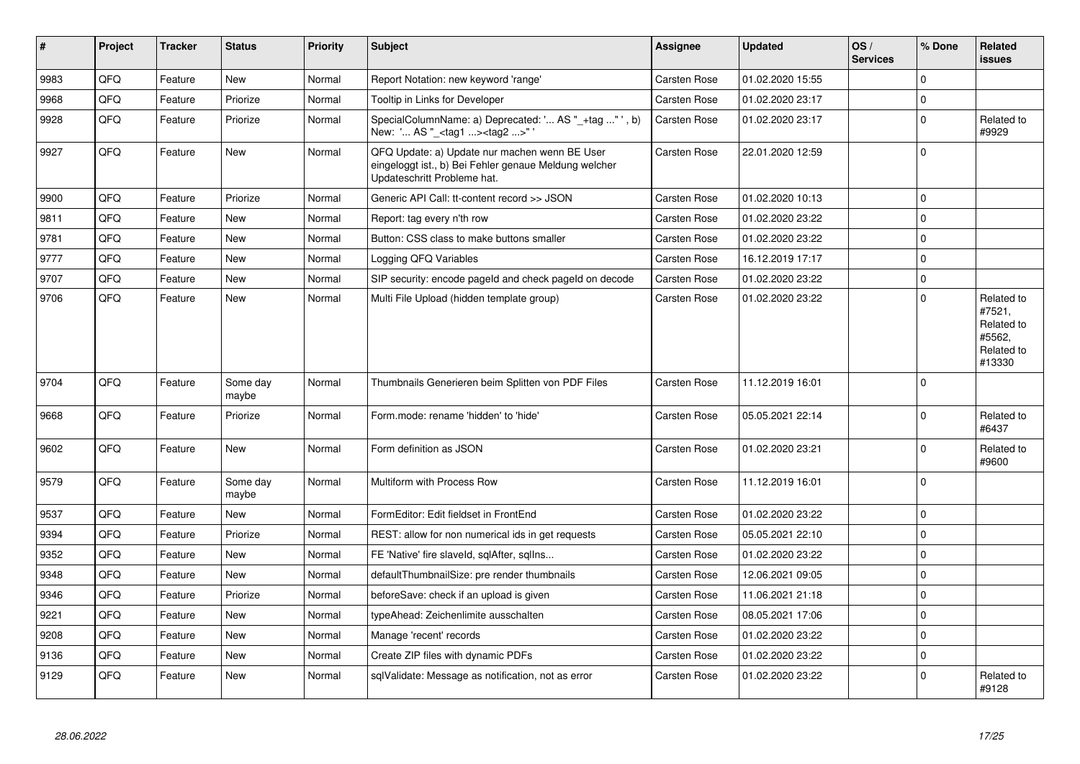| $\vert$ # | Project | <b>Tracker</b> | <b>Status</b>     | <b>Priority</b> | <b>Subject</b>                                                                                                                        | Assignee            | <b>Updated</b>   | OS/<br><b>Services</b> | % Done         | Related<br>issues                                                    |
|-----------|---------|----------------|-------------------|-----------------|---------------------------------------------------------------------------------------------------------------------------------------|---------------------|------------------|------------------------|----------------|----------------------------------------------------------------------|
| 9983      | QFQ     | Feature        | New               | Normal          | Report Notation: new keyword 'range'                                                                                                  | Carsten Rose        | 01.02.2020 15:55 |                        | $\Omega$       |                                                                      |
| 9968      | QFQ     | Feature        | Priorize          | Normal          | Tooltip in Links for Developer                                                                                                        | Carsten Rose        | 01.02.2020 23:17 |                        | $\Omega$       |                                                                      |
| 9928      | QFQ     | Feature        | Priorize          | Normal          | SpecialColumnName: a) Deprecated: ' AS " +tag "', b)<br>New: ' AS "_ <tag1><tag2>"</tag2></tag1>                                      | <b>Carsten Rose</b> | 01.02.2020 23:17 |                        | $\Omega$       | Related to<br>#9929                                                  |
| 9927      | QFQ     | Feature        | New               | Normal          | QFQ Update: a) Update nur machen wenn BE User<br>eingeloggt ist., b) Bei Fehler genaue Meldung welcher<br>Updateschritt Probleme hat. | Carsten Rose        | 22.01.2020 12:59 |                        | $\Omega$       |                                                                      |
| 9900      | QFQ     | Feature        | Priorize          | Normal          | Generic API Call: tt-content record >> JSON                                                                                           | Carsten Rose        | 01.02.2020 10:13 |                        | $\mathbf 0$    |                                                                      |
| 9811      | QFQ     | Feature        | <b>New</b>        | Normal          | Report: tag every n'th row                                                                                                            | Carsten Rose        | 01.02.2020 23:22 |                        | $\Omega$       |                                                                      |
| 9781      | QFQ     | Feature        | New               | Normal          | Button: CSS class to make buttons smaller                                                                                             | Carsten Rose        | 01.02.2020 23:22 |                        | $\mathbf 0$    |                                                                      |
| 9777      | QFQ     | Feature        | New               | Normal          | Logging QFQ Variables                                                                                                                 | Carsten Rose        | 16.12.2019 17:17 |                        | $\overline{0}$ |                                                                      |
| 9707      | QFQ     | Feature        | New               | Normal          | SIP security: encode pageld and check pageld on decode                                                                                | <b>Carsten Rose</b> | 01.02.2020 23:22 |                        | $\mathbf 0$    |                                                                      |
| 9706      | QFQ     | Feature        | <b>New</b>        | Normal          | Multi File Upload (hidden template group)                                                                                             | Carsten Rose        | 01.02.2020 23:22 |                        | $\Omega$       | Related to<br>#7521,<br>Related to<br>#5562,<br>Related to<br>#13330 |
| 9704      | QFQ     | Feature        | Some day<br>maybe | Normal          | Thumbnails Generieren beim Splitten von PDF Files                                                                                     | Carsten Rose        | 11.12.2019 16:01 |                        | $\Omega$       |                                                                      |
| 9668      | QFQ     | Feature        | Priorize          | Normal          | Form.mode: rename 'hidden' to 'hide'                                                                                                  | Carsten Rose        | 05.05.2021 22:14 |                        | $\Omega$       | Related to<br>#6437                                                  |
| 9602      | QFQ     | Feature        | <b>New</b>        | Normal          | Form definition as JSON                                                                                                               | Carsten Rose        | 01.02.2020 23:21 |                        | $\Omega$       | Related to<br>#9600                                                  |
| 9579      | QFQ     | Feature        | Some day<br>maybe | Normal          | Multiform with Process Row                                                                                                            | Carsten Rose        | 11.12.2019 16:01 |                        | $\Omega$       |                                                                      |
| 9537      | QFQ     | Feature        | New               | Normal          | FormEditor: Edit fieldset in FrontEnd                                                                                                 | Carsten Rose        | 01.02.2020 23:22 |                        | $\mathbf 0$    |                                                                      |
| 9394      | QFQ     | Feature        | Priorize          | Normal          | REST: allow for non numerical ids in get requests                                                                                     | Carsten Rose        | 05.05.2021 22:10 |                        | $\Omega$       |                                                                      |
| 9352      | QFQ     | Feature        | <b>New</b>        | Normal          | FE 'Native' fire slaveld, sqlAfter, sqlIns                                                                                            | Carsten Rose        | 01.02.2020 23:22 |                        | $\Omega$       |                                                                      |
| 9348      | QFQ     | Feature        | <b>New</b>        | Normal          | defaultThumbnailSize: pre render thumbnails                                                                                           | Carsten Rose        | 12.06.2021 09:05 |                        | $\Omega$       |                                                                      |
| 9346      | QFQ     | Feature        | Priorize          | Normal          | beforeSave: check if an upload is given                                                                                               | Carsten Rose        | 11.06.2021 21:18 |                        | $\Omega$       |                                                                      |
| 9221      | QFQ     | Feature        | <b>New</b>        | Normal          | typeAhead: Zeichenlimite ausschalten                                                                                                  | Carsten Rose        | 08.05.2021 17:06 |                        | $\Omega$       |                                                                      |
| 9208      | QFQ     | Feature        | New               | Normal          | Manage 'recent' records                                                                                                               | Carsten Rose        | 01.02.2020 23:22 |                        | $\Omega$       |                                                                      |
| 9136      | QFQ     | Feature        | <b>New</b>        | Normal          | Create ZIP files with dynamic PDFs                                                                                                    | Carsten Rose        | 01.02.2020 23:22 |                        | $\Omega$       |                                                                      |
| 9129      | QFQ     | Feature        | New               | Normal          | sqlValidate: Message as notification, not as error                                                                                    | Carsten Rose        | 01.02.2020 23:22 |                        | $\Omega$       | Related to<br>#9128                                                  |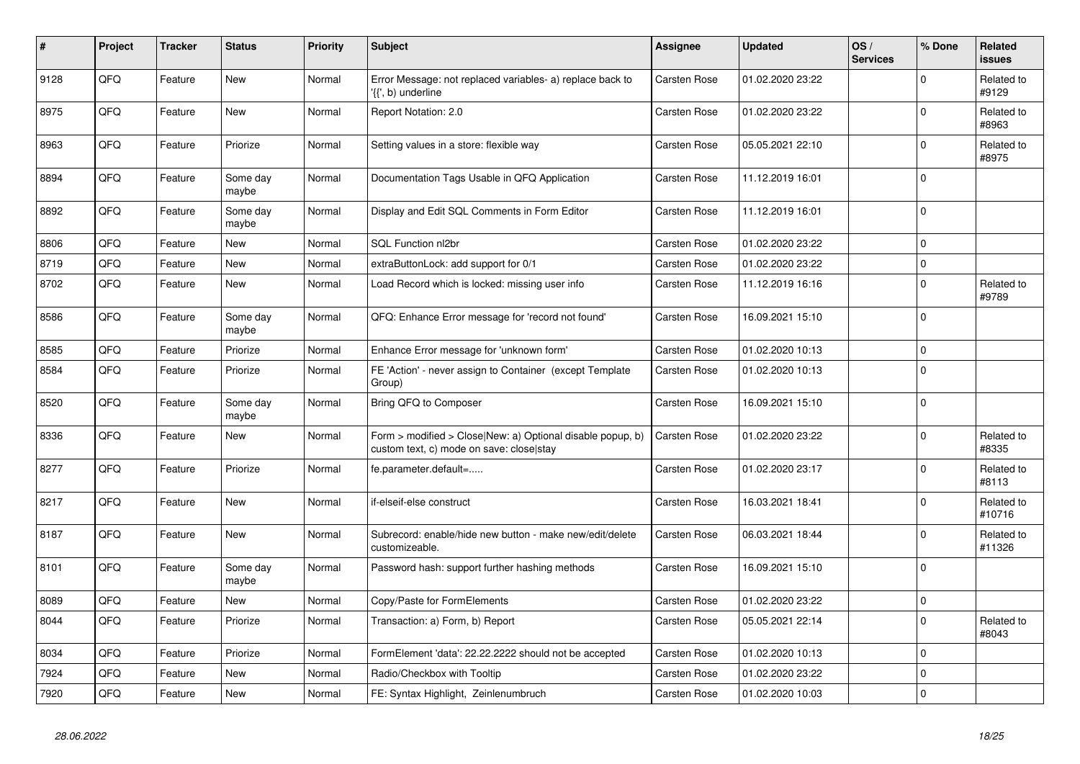| #    | Project | <b>Tracker</b> | <b>Status</b>     | <b>Priority</b> | <b>Subject</b>                                                                                         | <b>Assignee</b>     | <b>Updated</b>   | OS/<br><b>Services</b> | % Done      | Related<br>issues    |
|------|---------|----------------|-------------------|-----------------|--------------------------------------------------------------------------------------------------------|---------------------|------------------|------------------------|-------------|----------------------|
| 9128 | QFQ     | Feature        | <b>New</b>        | Normal          | Error Message: not replaced variables- a) replace back to<br>'{{', b) underline                        | <b>Carsten Rose</b> | 01.02.2020 23:22 |                        | $\Omega$    | Related to<br>#9129  |
| 8975 | QFQ     | Feature        | New               | Normal          | Report Notation: 2.0                                                                                   | <b>Carsten Rose</b> | 01.02.2020 23:22 |                        | $\Omega$    | Related to<br>#8963  |
| 8963 | QFQ     | Feature        | Priorize          | Normal          | Setting values in a store: flexible way                                                                | <b>Carsten Rose</b> | 05.05.2021 22:10 |                        | $\Omega$    | Related to<br>#8975  |
| 8894 | QFQ     | Feature        | Some day<br>maybe | Normal          | Documentation Tags Usable in QFQ Application                                                           | <b>Carsten Rose</b> | 11.12.2019 16:01 |                        | $\Omega$    |                      |
| 8892 | QFQ     | Feature        | Some day<br>maybe | Normal          | Display and Edit SQL Comments in Form Editor                                                           | <b>Carsten Rose</b> | 11.12.2019 16:01 |                        | $\Omega$    |                      |
| 8806 | QFQ     | Feature        | <b>New</b>        | Normal          | SQL Function nl2br                                                                                     | <b>Carsten Rose</b> | 01.02.2020 23:22 |                        | $\Omega$    |                      |
| 8719 | QFQ     | Feature        | <b>New</b>        | Normal          | extraButtonLock: add support for 0/1                                                                   | <b>Carsten Rose</b> | 01.02.2020 23:22 |                        | 0           |                      |
| 8702 | QFQ     | Feature        | <b>New</b>        | Normal          | Load Record which is locked: missing user info                                                         | <b>Carsten Rose</b> | 11.12.2019 16:16 |                        | $\Omega$    | Related to<br>#9789  |
| 8586 | QFQ     | Feature        | Some day<br>maybe | Normal          | QFQ: Enhance Error message for 'record not found'                                                      | <b>Carsten Rose</b> | 16.09.2021 15:10 |                        | $\mathbf 0$ |                      |
| 8585 | QFQ     | Feature        | Priorize          | Normal          | Enhance Error message for 'unknown form'                                                               | <b>Carsten Rose</b> | 01.02.2020 10:13 |                        | $\Omega$    |                      |
| 8584 | QFQ     | Feature        | Priorize          | Normal          | FE 'Action' - never assign to Container (except Template<br>Group)                                     | <b>Carsten Rose</b> | 01.02.2020 10:13 |                        | 0           |                      |
| 8520 | QFQ     | Feature        | Some day<br>maybe | Normal          | Bring QFQ to Composer                                                                                  | <b>Carsten Rose</b> | 16.09.2021 15:10 |                        | $\Omega$    |                      |
| 8336 | QFQ     | Feature        | <b>New</b>        | Normal          | Form > modified > Close New: a) Optional disable popup, b)<br>custom text, c) mode on save: closelstay | <b>Carsten Rose</b> | 01.02.2020 23:22 |                        | $\Omega$    | Related to<br>#8335  |
| 8277 | QFQ     | Feature        | Priorize          | Normal          | fe.parameter.default=                                                                                  | <b>Carsten Rose</b> | 01.02.2020 23:17 |                        | $\Omega$    | Related to<br>#8113  |
| 8217 | QFQ     | Feature        | New               | Normal          | if-elseif-else construct                                                                               | <b>Carsten Rose</b> | 16.03.2021 18:41 |                        | $\Omega$    | Related to<br>#10716 |
| 8187 | QFQ     | Feature        | New               | Normal          | Subrecord: enable/hide new button - make new/edit/delete<br>customizeable.                             | <b>Carsten Rose</b> | 06.03.2021 18:44 |                        | $\Omega$    | Related to<br>#11326 |
| 8101 | QFQ     | Feature        | Some day<br>maybe | Normal          | Password hash: support further hashing methods                                                         | <b>Carsten Rose</b> | 16.09.2021 15:10 |                        | $\Omega$    |                      |
| 8089 | QFQ     | Feature        | <b>New</b>        | Normal          | Copy/Paste for FormElements                                                                            | <b>Carsten Rose</b> | 01.02.2020 23:22 |                        | $\Omega$    |                      |
| 8044 | QFQ     | Feature        | Priorize          | Normal          | Transaction: a) Form, b) Report                                                                        | Carsten Rose        | 05.05.2021 22:14 |                        | $\Omega$    | Related to<br>#8043  |
| 8034 | QFQ     | Feature        | Priorize          | Normal          | FormElement 'data': 22.22.2222 should not be accepted                                                  | Carsten Rose        | 01.02.2020 10:13 |                        | $\Omega$    |                      |
| 7924 | QFQ     | Feature        | <b>New</b>        | Normal          | Radio/Checkbox with Tooltip                                                                            | Carsten Rose        | 01.02.2020 23:22 |                        | $\Omega$    |                      |
| 7920 | QFQ     | Feature        | <b>New</b>        | Normal          | FE: Syntax Highlight, Zeinlenumbruch                                                                   | <b>Carsten Rose</b> | 01.02.2020 10:03 |                        | 0           |                      |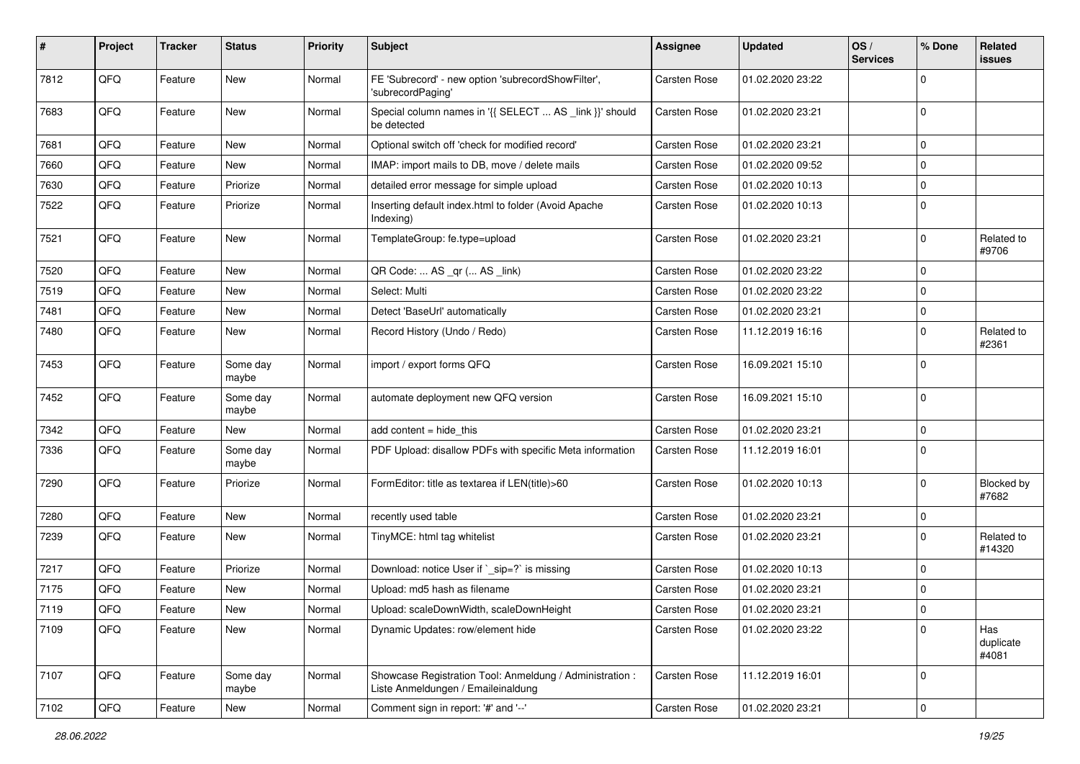| #    | Project | <b>Tracker</b> | <b>Status</b>     | <b>Priority</b> | <b>Subject</b>                                                                                 | <b>Assignee</b>     | <b>Updated</b>   | OS/<br><b>Services</b> | % Done      | Related<br>issues          |
|------|---------|----------------|-------------------|-----------------|------------------------------------------------------------------------------------------------|---------------------|------------------|------------------------|-------------|----------------------------|
| 7812 | QFQ     | Feature        | <b>New</b>        | Normal          | FE 'Subrecord' - new option 'subrecordShowFilter',<br>'subrecordPaging'                        | <b>Carsten Rose</b> | 01.02.2020 23:22 |                        | $\Omega$    |                            |
| 7683 | QFQ     | Feature        | <b>New</b>        | Normal          | Special column names in '{{ SELECT  AS _link }}' should<br>be detected                         | <b>Carsten Rose</b> | 01.02.2020 23:21 |                        | $\mathbf 0$ |                            |
| 7681 | QFQ     | Feature        | New               | Normal          | Optional switch off 'check for modified record'                                                | <b>Carsten Rose</b> | 01.02.2020 23:21 |                        | $\Omega$    |                            |
| 7660 | QFQ     | Feature        | <b>New</b>        | Normal          | IMAP: import mails to DB, move / delete mails                                                  | <b>Carsten Rose</b> | 01.02.2020 09:52 |                        | $\Omega$    |                            |
| 7630 | QFQ     | Feature        | Priorize          | Normal          | detailed error message for simple upload                                                       | <b>Carsten Rose</b> | 01.02.2020 10:13 |                        | 0           |                            |
| 7522 | QFQ     | Feature        | Priorize          | Normal          | Inserting default index.html to folder (Avoid Apache<br>Indexing)                              | <b>Carsten Rose</b> | 01.02.2020 10:13 |                        | $\Omega$    |                            |
| 7521 | QFQ     | Feature        | New               | Normal          | TemplateGroup: fe.type=upload                                                                  | <b>Carsten Rose</b> | 01.02.2020 23:21 |                        | $\mathbf 0$ | Related to<br>#9706        |
| 7520 | QFQ     | Feature        | <b>New</b>        | Normal          | QR Code:  AS _qr ( AS _link)                                                                   | Carsten Rose        | 01.02.2020 23:22 |                        | $\mathbf 0$ |                            |
| 7519 | QFQ     | Feature        | <b>New</b>        | Normal          | Select: Multi                                                                                  | <b>Carsten Rose</b> | 01.02.2020 23:22 |                        | 0           |                            |
| 7481 | QFQ     | Feature        | <b>New</b>        | Normal          | Detect 'BaseUrl' automatically                                                                 | <b>Carsten Rose</b> | 01.02.2020 23:21 |                        | $\mathbf 0$ |                            |
| 7480 | QFQ     | Feature        | New               | Normal          | Record History (Undo / Redo)                                                                   | <b>Carsten Rose</b> | 11.12.2019 16:16 |                        | 0           | Related to<br>#2361        |
| 7453 | QFQ     | Feature        | Some day<br>maybe | Normal          | import / export forms QFQ                                                                      | <b>Carsten Rose</b> | 16.09.2021 15:10 |                        | $\Omega$    |                            |
| 7452 | QFQ     | Feature        | Some day<br>maybe | Normal          | automate deployment new QFQ version                                                            | <b>Carsten Rose</b> | 16.09.2021 15:10 |                        | $\Omega$    |                            |
| 7342 | QFQ     | Feature        | New               | Normal          | add content = hide_this                                                                        | Carsten Rose        | 01.02.2020 23:21 |                        | 0           |                            |
| 7336 | QFQ     | Feature        | Some day<br>maybe | Normal          | PDF Upload: disallow PDFs with specific Meta information                                       | Carsten Rose        | 11.12.2019 16:01 |                        | $\Omega$    |                            |
| 7290 | QFQ     | Feature        | Priorize          | Normal          | FormEditor: title as textarea if LEN(title)>60                                                 | Carsten Rose        | 01.02.2020 10:13 |                        | 0           | <b>Blocked by</b><br>#7682 |
| 7280 | QFQ     | Feature        | New               | Normal          | recently used table                                                                            | <b>Carsten Rose</b> | 01.02.2020 23:21 |                        | $\mathbf 0$ |                            |
| 7239 | QFQ     | Feature        | <b>New</b>        | Normal          | TinyMCE: html tag whitelist                                                                    | <b>Carsten Rose</b> | 01.02.2020 23:21 |                        | 0           | Related to<br>#14320       |
| 7217 | QFQ     | Feature        | Priorize          | Normal          | Download: notice User if `_sip=?` is missing                                                   | <b>Carsten Rose</b> | 01.02.2020 10:13 |                        | $\Omega$    |                            |
| 7175 | QFQ     | Feature        | New               | Normal          | Upload: md5 hash as filename                                                                   | <b>Carsten Rose</b> | 01.02.2020 23:21 |                        | $\mathbf 0$ |                            |
| 7119 | QFG     | Feature        | New               | Normal          | Upload: scaleDownWidth, scaleDownHeight                                                        | Carsten Rose        | 01.02.2020 23:21 |                        | <u>n</u>    |                            |
| 7109 | QFQ     | Feature        | New               | Normal          | Dynamic Updates: row/element hide                                                              | <b>Carsten Rose</b> | 01.02.2020 23:22 |                        | 0           | Has<br>duplicate<br>#4081  |
| 7107 | QFQ     | Feature        | Some day<br>maybe | Normal          | Showcase Registration Tool: Anmeldung / Administration :<br>Liste Anmeldungen / Emaileinaldung | Carsten Rose        | 11.12.2019 16:01 |                        | 0           |                            |
| 7102 | QFQ     | Feature        | New               | Normal          | Comment sign in report: '#' and '--'                                                           | Carsten Rose        | 01.02.2020 23:21 |                        | 0           |                            |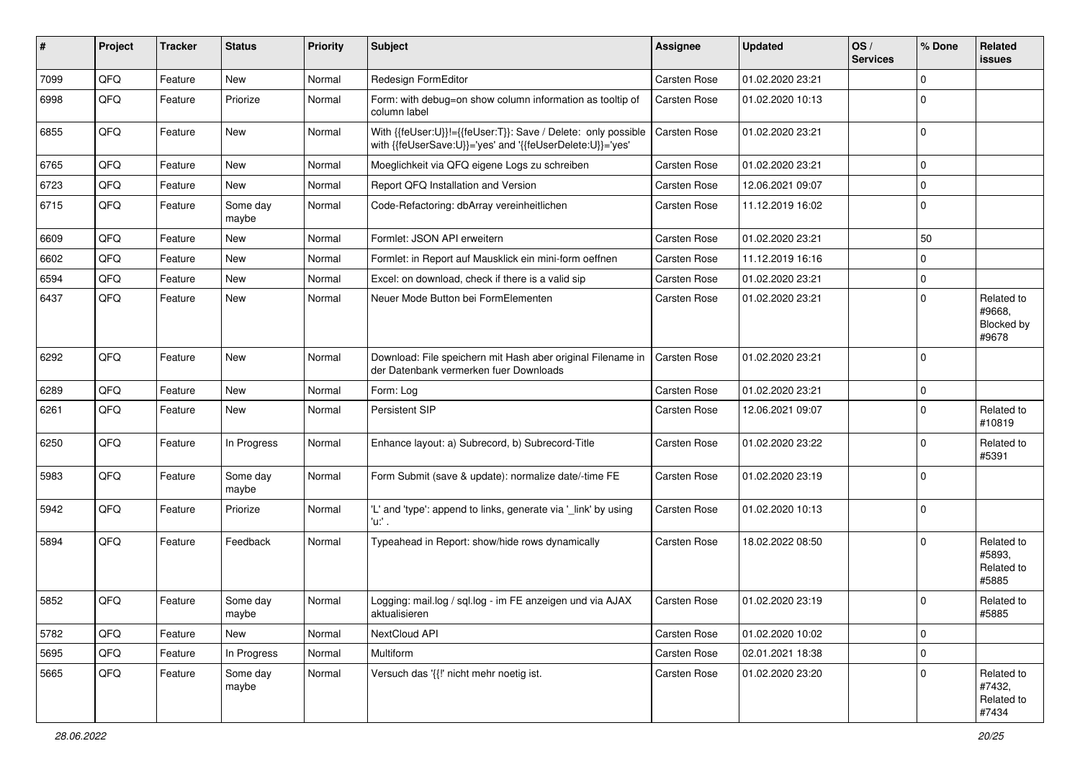| #    | Project | <b>Tracker</b> | <b>Status</b>     | <b>Priority</b> | Subject                                                                                                                    | <b>Assignee</b>     | <b>Updated</b>   | OS/<br><b>Services</b> | % Done      | Related<br><b>issues</b>                    |
|------|---------|----------------|-------------------|-----------------|----------------------------------------------------------------------------------------------------------------------------|---------------------|------------------|------------------------|-------------|---------------------------------------------|
| 7099 | QFQ     | Feature        | New               | Normal          | Redesign FormEditor                                                                                                        | <b>Carsten Rose</b> | 01.02.2020 23:21 |                        | $\Omega$    |                                             |
| 6998 | QFQ     | Feature        | Priorize          | Normal          | Form: with debug=on show column information as tooltip of<br>column label                                                  | <b>Carsten Rose</b> | 01.02.2020 10:13 |                        | $\Omega$    |                                             |
| 6855 | QFQ     | Feature        | New               | Normal          | With {{feUser:U}}!={{feUser:T}}: Save / Delete: only possible<br>with {{feUserSave:U}}='yes' and '{{feUserDelete:U}}='yes' | <b>Carsten Rose</b> | 01.02.2020 23:21 |                        | $\Omega$    |                                             |
| 6765 | QFQ     | Feature        | <b>New</b>        | Normal          | Moeglichkeit via QFQ eigene Logs zu schreiben                                                                              | <b>Carsten Rose</b> | 01.02.2020 23:21 |                        | $\Omega$    |                                             |
| 6723 | QFQ     | Feature        | New               | Normal          | Report QFQ Installation and Version                                                                                        | <b>Carsten Rose</b> | 12.06.2021 09:07 |                        | $\mathbf 0$ |                                             |
| 6715 | QFQ     | Feature        | Some day<br>maybe | Normal          | Code-Refactoring: dbArray vereinheitlichen                                                                                 | Carsten Rose        | 11.12.2019 16:02 |                        | $\Omega$    |                                             |
| 6609 | QFQ     | Feature        | New               | Normal          | Formlet: JSON API erweitern                                                                                                | <b>Carsten Rose</b> | 01.02.2020 23:21 |                        | 50          |                                             |
| 6602 | QFQ     | Feature        | New               | Normal          | Formlet: in Report auf Mausklick ein mini-form oeffnen                                                                     | <b>Carsten Rose</b> | 11.12.2019 16:16 |                        | $\Omega$    |                                             |
| 6594 | QFQ     | Feature        | <b>New</b>        | Normal          | Excel: on download, check if there is a valid sip                                                                          | <b>Carsten Rose</b> | 01.02.2020 23:21 |                        | $\Omega$    |                                             |
| 6437 | QFQ     | Feature        | <b>New</b>        | Normal          | Neuer Mode Button bei FormElementen                                                                                        | Carsten Rose        | 01.02.2020 23:21 |                        | $\Omega$    | Related to<br>#9668,<br>Blocked by<br>#9678 |
| 6292 | QFQ     | Feature        | <b>New</b>        | Normal          | Download: File speichern mit Hash aber original Filename in<br>der Datenbank vermerken fuer Downloads                      | <b>Carsten Rose</b> | 01.02.2020 23:21 |                        | 0           |                                             |
| 6289 | QFQ     | Feature        | <b>New</b>        | Normal          | Form: Log                                                                                                                  | <b>Carsten Rose</b> | 01.02.2020 23:21 |                        | $\Omega$    |                                             |
| 6261 | QFQ     | Feature        | New               | Normal          | Persistent SIP                                                                                                             | Carsten Rose        | 12.06.2021 09:07 |                        | $\Omega$    | Related to<br>#10819                        |
| 6250 | QFQ     | Feature        | In Progress       | Normal          | Enhance layout: a) Subrecord, b) Subrecord-Title                                                                           | <b>Carsten Rose</b> | 01.02.2020 23:22 |                        | $\Omega$    | Related to<br>#5391                         |
| 5983 | QFQ     | Feature        | Some day<br>maybe | Normal          | Form Submit (save & update): normalize date/-time FE                                                                       | Carsten Rose        | 01.02.2020 23:19 |                        | $\Omega$    |                                             |
| 5942 | QFQ     | Feature        | Priorize          | Normal          | 'L' and 'type': append to links, generate via '_link' by using<br>'u:' .                                                   | <b>Carsten Rose</b> | 01.02.2020 10:13 |                        | $\mathbf 0$ |                                             |
| 5894 | QFQ     | Feature        | Feedback          | Normal          | Typeahead in Report: show/hide rows dynamically                                                                            | <b>Carsten Rose</b> | 18.02.2022 08:50 |                        | $\Omega$    | Related to<br>#5893.<br>Related to<br>#5885 |
| 5852 | QFQ     | Feature        | Some day<br>maybe | Normal          | Logging: mail.log / sql.log - im FE anzeigen und via AJAX<br>aktualisieren                                                 | <b>Carsten Rose</b> | 01.02.2020 23:19 |                        | $\Omega$    | Related to<br>#5885                         |
| 5782 | QFQ     | Feature        | New               | Normal          | NextCloud API                                                                                                              | Carsten Rose        | 01.02.2020 10:02 |                        | $\mathbf 0$ |                                             |
| 5695 | QFQ     | Feature        | In Progress       | Normal          | Multiform                                                                                                                  | Carsten Rose        | 02.01.2021 18:38 |                        | $\Omega$    |                                             |
| 5665 | QFQ     | Feature        | Some day<br>maybe | Normal          | Versuch das '{{!' nicht mehr noetig ist.                                                                                   | <b>Carsten Rose</b> | 01.02.2020 23:20 |                        | $\Omega$    | Related to<br>#7432,<br>Related to<br>#7434 |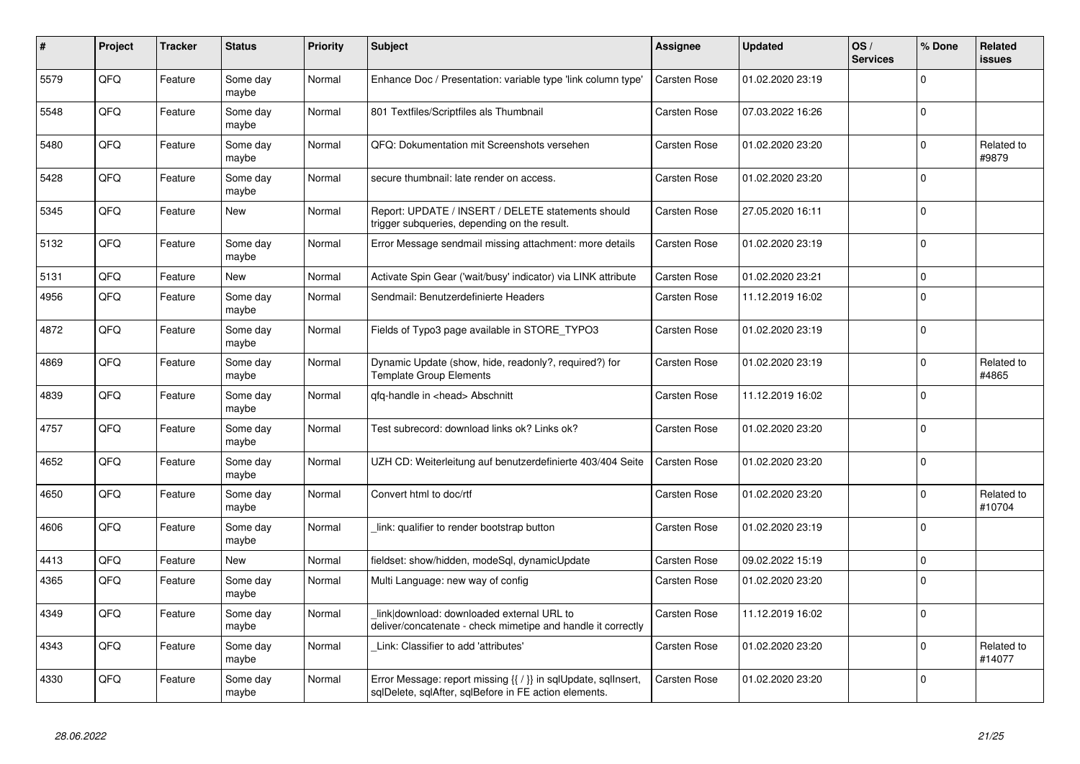| $\pmb{\sharp}$ | Project | <b>Tracker</b> | <b>Status</b>     | <b>Priority</b> | <b>Subject</b>                                                                                                          | Assignee            | <b>Updated</b>   | OS/<br><b>Services</b> | % Done      | Related<br>issues    |
|----------------|---------|----------------|-------------------|-----------------|-------------------------------------------------------------------------------------------------------------------------|---------------------|------------------|------------------------|-------------|----------------------|
| 5579           | QFQ     | Feature        | Some day<br>maybe | Normal          | Enhance Doc / Presentation: variable type 'link column type'                                                            | <b>Carsten Rose</b> | 01.02.2020 23:19 |                        | $\Omega$    |                      |
| 5548           | QFQ     | Feature        | Some day<br>maybe | Normal          | 801 Textfiles/Scriptfiles als Thumbnail                                                                                 | <b>Carsten Rose</b> | 07.03.2022 16:26 |                        | $\Omega$    |                      |
| 5480           | QFQ     | Feature        | Some day<br>maybe | Normal          | QFQ: Dokumentation mit Screenshots versehen                                                                             | Carsten Rose        | 01.02.2020 23:20 |                        | $\Omega$    | Related to<br>#9879  |
| 5428           | QFQ     | Feature        | Some day<br>maybe | Normal          | secure thumbnail: late render on access.                                                                                | Carsten Rose        | 01.02.2020 23:20 |                        | $\Omega$    |                      |
| 5345           | QFQ     | Feature        | New               | Normal          | Report: UPDATE / INSERT / DELETE statements should<br>trigger subqueries, depending on the result.                      | Carsten Rose        | 27.05.2020 16:11 |                        | $\Omega$    |                      |
| 5132           | QFQ     | Feature        | Some day<br>maybe | Normal          | Error Message sendmail missing attachment: more details                                                                 | <b>Carsten Rose</b> | 01.02.2020 23:19 |                        | $\mathbf 0$ |                      |
| 5131           | QFQ     | Feature        | New               | Normal          | Activate Spin Gear ('wait/busy' indicator) via LINK attribute                                                           | Carsten Rose        | 01.02.2020 23:21 |                        | $\Omega$    |                      |
| 4956           | QFQ     | Feature        | Some day<br>maybe | Normal          | Sendmail: Benutzerdefinierte Headers                                                                                    | Carsten Rose        | 11.12.2019 16:02 |                        | $\mathbf 0$ |                      |
| 4872           | QFQ     | Feature        | Some day<br>maybe | Normal          | Fields of Typo3 page available in STORE TYPO3                                                                           | Carsten Rose        | 01.02.2020 23:19 |                        | $\Omega$    |                      |
| 4869           | QFQ     | Feature        | Some day<br>maybe | Normal          | Dynamic Update (show, hide, readonly?, required?) for<br><b>Template Group Elements</b>                                 | Carsten Rose        | 01.02.2020 23:19 |                        | $\Omega$    | Related to<br>#4865  |
| 4839           | QFQ     | Feature        | Some day<br>maybe | Normal          | qfq-handle in <head> Abschnitt</head>                                                                                   | Carsten Rose        | 11.12.2019 16:02 |                        | $\Omega$    |                      |
| 4757           | QFQ     | Feature        | Some day<br>maybe | Normal          | Test subrecord: download links ok? Links ok?                                                                            | Carsten Rose        | 01.02.2020 23:20 |                        | $\Omega$    |                      |
| 4652           | QFQ     | Feature        | Some day<br>maybe | Normal          | UZH CD: Weiterleitung auf benutzerdefinierte 403/404 Seite                                                              | Carsten Rose        | 01.02.2020 23:20 |                        | $\Omega$    |                      |
| 4650           | QFQ     | Feature        | Some day<br>maybe | Normal          | Convert html to doc/rtf                                                                                                 | Carsten Rose        | 01.02.2020 23:20 |                        | $\mathbf 0$ | Related to<br>#10704 |
| 4606           | QFQ     | Feature        | Some day<br>maybe | Normal          | link: qualifier to render bootstrap button                                                                              | <b>Carsten Rose</b> | 01.02.2020 23:19 |                        | $\Omega$    |                      |
| 4413           | QFQ     | Feature        | <b>New</b>        | Normal          | fieldset: show/hidden, modeSgl, dynamicUpdate                                                                           | Carsten Rose        | 09.02.2022 15:19 |                        | $\Omega$    |                      |
| 4365           | QFQ     | Feature        | Some day<br>maybe | Normal          | Multi Language: new way of config                                                                                       | Carsten Rose        | 01.02.2020 23:20 |                        | $\Omega$    |                      |
| 4349           | QFQ     | Feature        | Some day<br>maybe | Normal          | link download: downloaded external URL to<br>deliver/concatenate - check mimetipe and handle it correctly               | <b>Carsten Rose</b> | 11.12.2019 16:02 |                        | $\Omega$    |                      |
| 4343           | QFQ     | Feature        | Some day<br>maybe | Normal          | Link: Classifier to add 'attributes'                                                                                    | Carsten Rose        | 01.02.2020 23:20 |                        | $\mathbf 0$ | Related to<br>#14077 |
| 4330           | QFQ     | Feature        | Some day<br>maybe | Normal          | Error Message: report missing {{ / }} in sqlUpdate, sqlInsert,<br>sqlDelete, sqlAfter, sqlBefore in FE action elements. | <b>Carsten Rose</b> | 01.02.2020 23:20 |                        | $\Omega$    |                      |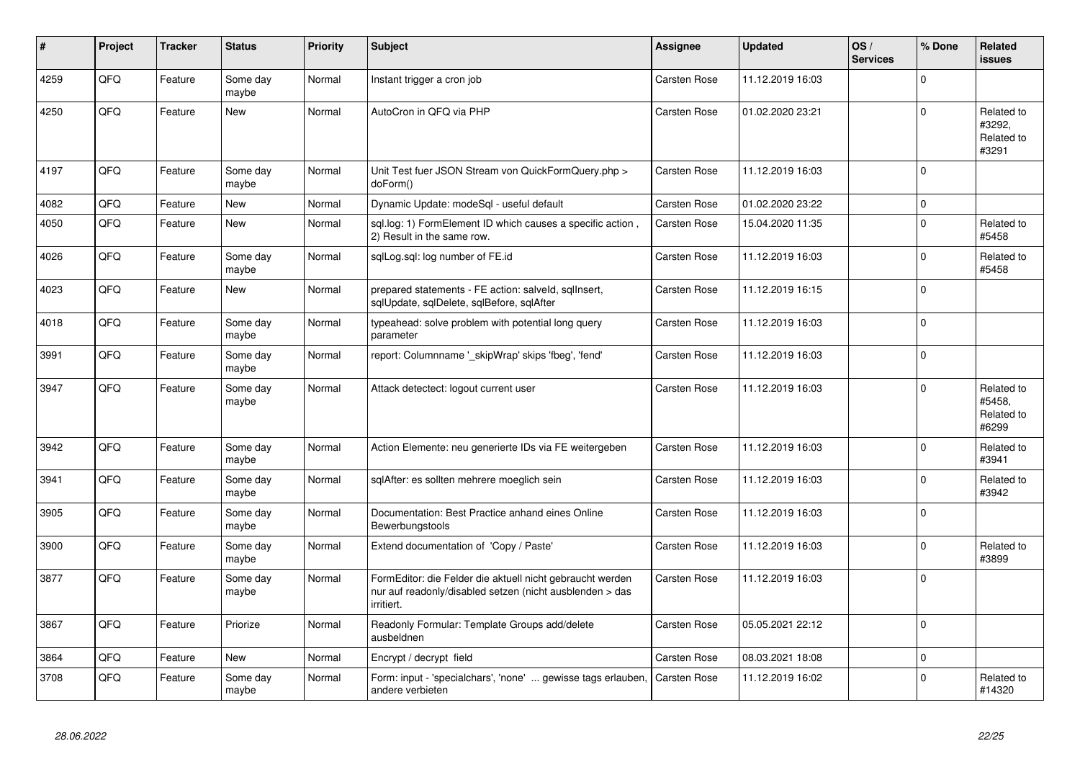| #    | Project | <b>Tracker</b> | <b>Status</b>     | <b>Priority</b> | <b>Subject</b>                                                                                                                      | Assignee            | <b>Updated</b>   | OS/<br><b>Services</b> | % Done      | Related<br>issues                           |
|------|---------|----------------|-------------------|-----------------|-------------------------------------------------------------------------------------------------------------------------------------|---------------------|------------------|------------------------|-------------|---------------------------------------------|
| 4259 | QFQ     | Feature        | Some day<br>maybe | Normal          | Instant trigger a cron job                                                                                                          | <b>Carsten Rose</b> | 11.12.2019 16:03 |                        | $\Omega$    |                                             |
| 4250 | QFQ     | Feature        | <b>New</b>        | Normal          | AutoCron in QFQ via PHP                                                                                                             | <b>Carsten Rose</b> | 01.02.2020 23:21 |                        | $\Omega$    | Related to<br>#3292,<br>Related to<br>#3291 |
| 4197 | QFQ     | Feature        | Some day<br>maybe | Normal          | Unit Test fuer JSON Stream von QuickFormQuery.php ><br>doForm()                                                                     | Carsten Rose        | 11.12.2019 16:03 |                        | $\Omega$    |                                             |
| 4082 | QFQ     | Feature        | <b>New</b>        | Normal          | Dynamic Update: modeSql - useful default                                                                                            | Carsten Rose        | 01.02.2020 23:22 |                        | $\Omega$    |                                             |
| 4050 | QFQ     | Feature        | <b>New</b>        | Normal          | sql.log: 1) FormElement ID which causes a specific action,<br>2) Result in the same row.                                            | Carsten Rose        | 15.04.2020 11:35 |                        | $\Omega$    | Related to<br>#5458                         |
| 4026 | QFQ     | Feature        | Some day<br>maybe | Normal          | sqlLog.sql: log number of FE.id                                                                                                     | <b>Carsten Rose</b> | 11.12.2019 16:03 |                        | $\Omega$    | Related to<br>#5458                         |
| 4023 | QFQ     | Feature        | <b>New</b>        | Normal          | prepared statements - FE action: salveld, sqllnsert,<br>sqlUpdate, sqlDelete, sqlBefore, sqlAfter                                   | <b>Carsten Rose</b> | 11.12.2019 16:15 |                        | $\Omega$    |                                             |
| 4018 | QFQ     | Feature        | Some day<br>maybe | Normal          | typeahead: solve problem with potential long query<br>parameter                                                                     | Carsten Rose        | 11.12.2019 16:03 |                        | $\Omega$    |                                             |
| 3991 | QFQ     | Feature        | Some day<br>maybe | Normal          | report: Columnname '_skipWrap' skips 'fbeg', 'fend'                                                                                 | Carsten Rose        | 11.12.2019 16:03 |                        | $\Omega$    |                                             |
| 3947 | QFQ     | Feature        | Some day<br>maybe | Normal          | Attack detectect: logout current user                                                                                               | <b>Carsten Rose</b> | 11.12.2019 16:03 |                        | $\Omega$    | Related to<br>#5458.<br>Related to<br>#6299 |
| 3942 | QFQ     | Feature        | Some day<br>maybe | Normal          | Action Elemente: neu generierte IDs via FE weitergeben                                                                              | Carsten Rose        | 11.12.2019 16:03 |                        | $\Omega$    | Related to<br>#3941                         |
| 3941 | QFQ     | Feature        | Some day<br>maybe | Normal          | sqlAfter: es sollten mehrere moeglich sein                                                                                          | <b>Carsten Rose</b> | 11.12.2019 16:03 |                        | $\Omega$    | Related to<br>#3942                         |
| 3905 | QFQ     | Feature        | Some day<br>maybe | Normal          | Documentation: Best Practice anhand eines Online<br>Bewerbungstools                                                                 | Carsten Rose        | 11.12.2019 16:03 |                        | $\Omega$    |                                             |
| 3900 | QFQ     | Feature        | Some day<br>maybe | Normal          | Extend documentation of 'Copy / Paste'                                                                                              | Carsten Rose        | 11.12.2019 16:03 |                        | $\Omega$    | Related to<br>#3899                         |
| 3877 | QFQ     | Feature        | Some day<br>maybe | Normal          | FormEditor: die Felder die aktuell nicht gebraucht werden<br>nur auf readonly/disabled setzen (nicht ausblenden > das<br>irritiert. | <b>Carsten Rose</b> | 11.12.2019 16:03 |                        | $\Omega$    |                                             |
| 3867 | QFQ     | Feature        | Priorize          | Normal          | Readonly Formular: Template Groups add/delete<br>ausbeldnen                                                                         | Carsten Rose        | 05.05.2021 22:12 |                        | $\Omega$    |                                             |
| 3864 | QFQ     | Feature        | <b>New</b>        | Normal          | Encrypt / decrypt field                                                                                                             | Carsten Rose        | 08.03.2021 18:08 |                        | $\mathbf 0$ |                                             |
| 3708 | QFQ     | Feature        | Some day<br>maybe | Normal          | Form: input - 'specialchars', 'none'  gewisse tags erlauben,<br>andere verbieten                                                    | <b>Carsten Rose</b> | 11.12.2019 16:02 |                        | $\Omega$    | Related to<br>#14320                        |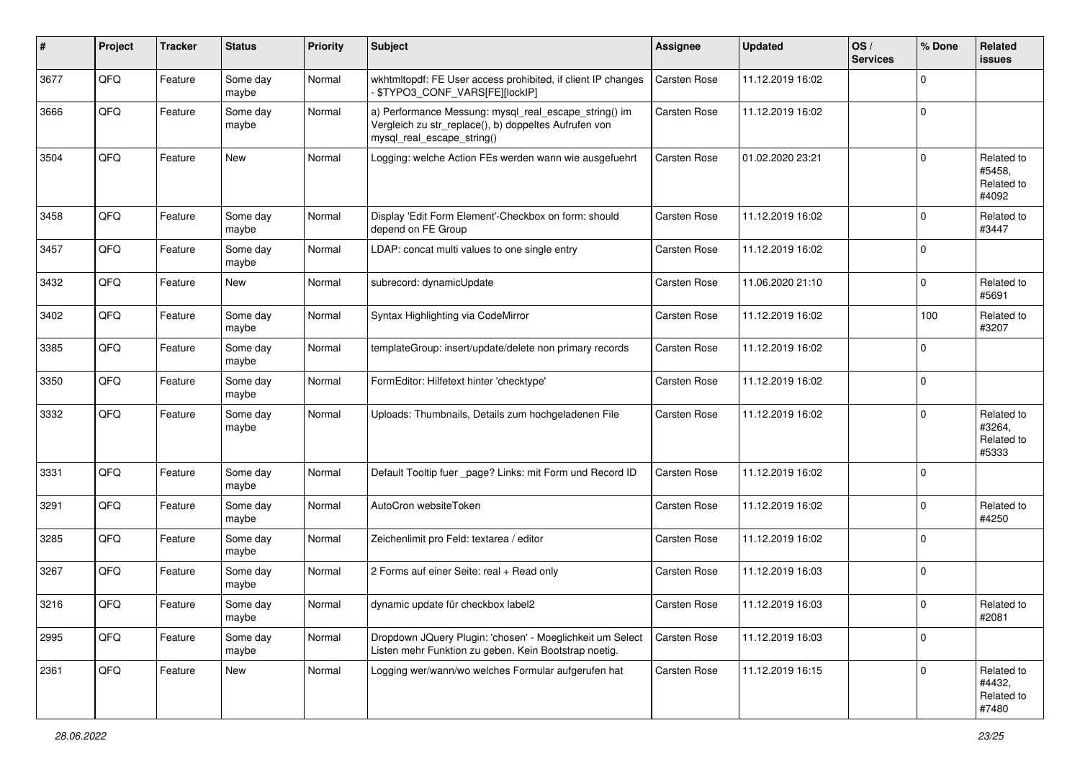| #    | Project | <b>Tracker</b> | <b>Status</b>     | <b>Priority</b> | <b>Subject</b>                                                                                                                               | Assignee     | <b>Updated</b>   | OS/<br><b>Services</b> | % Done      | Related<br><b>issues</b>                    |
|------|---------|----------------|-------------------|-----------------|----------------------------------------------------------------------------------------------------------------------------------------------|--------------|------------------|------------------------|-------------|---------------------------------------------|
| 3677 | QFQ     | Feature        | Some day<br>maybe | Normal          | wkhtmltopdf: FE User access prohibited, if client IP changes<br>\$TYPO3_CONF_VARS[FE][lockIP]                                                | Carsten Rose | 11.12.2019 16:02 |                        | $\mathbf 0$ |                                             |
| 3666 | QFQ     | Feature        | Some day<br>maybe | Normal          | a) Performance Messung: mysql_real_escape_string() im<br>Vergleich zu str_replace(), b) doppeltes Aufrufen von<br>mysql_real_escape_string() | Carsten Rose | 11.12.2019 16:02 |                        | $\mathbf 0$ |                                             |
| 3504 | QFQ     | Feature        | New               | Normal          | Logging: welche Action FEs werden wann wie ausgefuehrt                                                                                       | Carsten Rose | 01.02.2020 23:21 |                        | $\mathbf 0$ | Related to<br>#5458.<br>Related to<br>#4092 |
| 3458 | QFQ     | Feature        | Some day<br>maybe | Normal          | Display 'Edit Form Element'-Checkbox on form: should<br>depend on FE Group                                                                   | Carsten Rose | 11.12.2019 16:02 |                        | $\mathbf 0$ | Related to<br>#3447                         |
| 3457 | QFQ     | Feature        | Some day<br>maybe | Normal          | LDAP: concat multi values to one single entry                                                                                                | Carsten Rose | 11.12.2019 16:02 |                        | $\mathbf 0$ |                                             |
| 3432 | QFQ     | Feature        | <b>New</b>        | Normal          | subrecord: dynamicUpdate                                                                                                                     | Carsten Rose | 11.06.2020 21:10 |                        | $\mathbf 0$ | Related to<br>#5691                         |
| 3402 | QFQ     | Feature        | Some day<br>maybe | Normal          | Syntax Highlighting via CodeMirror                                                                                                           | Carsten Rose | 11.12.2019 16:02 |                        | 100         | Related to<br>#3207                         |
| 3385 | QFQ     | Feature        | Some day<br>maybe | Normal          | templateGroup: insert/update/delete non primary records                                                                                      | Carsten Rose | 11.12.2019 16:02 |                        | $\mathbf 0$ |                                             |
| 3350 | QFQ     | Feature        | Some day<br>maybe | Normal          | FormEditor: Hilfetext hinter 'checktype'                                                                                                     | Carsten Rose | 11.12.2019 16:02 |                        | $\pmb{0}$   |                                             |
| 3332 | QFQ     | Feature        | Some day<br>maybe | Normal          | Uploads: Thumbnails, Details zum hochgeladenen File                                                                                          | Carsten Rose | 11.12.2019 16:02 |                        | $\mathbf 0$ | Related to<br>#3264,<br>Related to<br>#5333 |
| 3331 | QFQ     | Feature        | Some day<br>maybe | Normal          | Default Tooltip fuer _page? Links: mit Form und Record ID                                                                                    | Carsten Rose | 11.12.2019 16:02 |                        | $\mathbf 0$ |                                             |
| 3291 | QFQ     | Feature        | Some day<br>maybe | Normal          | AutoCron websiteToken                                                                                                                        | Carsten Rose | 11.12.2019 16:02 |                        | $\mathbf 0$ | Related to<br>#4250                         |
| 3285 | QFQ     | Feature        | Some day<br>maybe | Normal          | Zeichenlimit pro Feld: textarea / editor                                                                                                     | Carsten Rose | 11.12.2019 16:02 |                        | $\mathbf 0$ |                                             |
| 3267 | QFQ     | Feature        | Some day<br>maybe | Normal          | 2 Forms auf einer Seite: real + Read only                                                                                                    | Carsten Rose | 11.12.2019 16:03 |                        | $\mathbf 0$ |                                             |
| 3216 | QFQ     | Feature        | Some day<br>maybe | Normal          | dynamic update für checkbox label2                                                                                                           | Carsten Rose | 11.12.2019 16:03 |                        | $\mathbf 0$ | Related to<br>#2081                         |
| 2995 | QFG     | Feature        | Some day<br>maybe | Normal          | Dropdown JQuery Plugin: 'chosen' - Moeglichkeit um Select<br>Listen mehr Funktion zu geben. Kein Bootstrap noetig.                           | Carsten Rose | 11.12.2019 16:03 |                        | $\mathbf 0$ |                                             |
| 2361 | QFQ     | Feature        | New               | Normal          | Logging wer/wann/wo welches Formular aufgerufen hat                                                                                          | Carsten Rose | 11.12.2019 16:15 |                        | $\mathbf 0$ | Related to<br>#4432,<br>Related to<br>#7480 |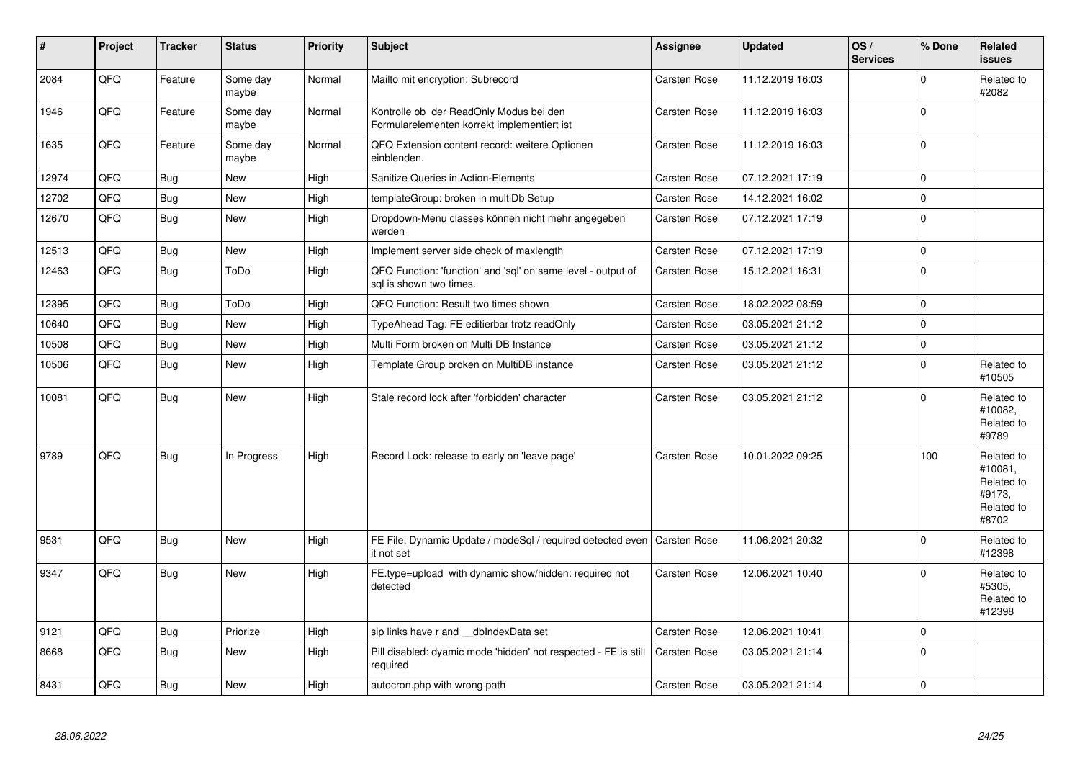| $\pmb{\sharp}$ | Project | <b>Tracker</b> | <b>Status</b>     | <b>Priority</b> | <b>Subject</b>                                                                          | Assignee            | <b>Updated</b>   | OS/<br><b>Services</b> | % Done      | Related<br><b>issues</b>                                             |
|----------------|---------|----------------|-------------------|-----------------|-----------------------------------------------------------------------------------------|---------------------|------------------|------------------------|-------------|----------------------------------------------------------------------|
| 2084           | QFQ     | Feature        | Some day<br>maybe | Normal          | Mailto mit encryption: Subrecord                                                        | <b>Carsten Rose</b> | 11.12.2019 16:03 |                        | $\Omega$    | Related to<br>#2082                                                  |
| 1946           | QFQ     | Feature        | Some day<br>maybe | Normal          | Kontrolle ob der ReadOnly Modus bei den<br>Formularelementen korrekt implementiert ist  | <b>Carsten Rose</b> | 11.12.2019 16:03 |                        | $\Omega$    |                                                                      |
| 1635           | QFQ     | Feature        | Some day<br>maybe | Normal          | QFQ Extension content record: weitere Optionen<br>einblenden.                           | <b>Carsten Rose</b> | 11.12.2019 16:03 |                        | $\Omega$    |                                                                      |
| 12974          | QFQ     | <b>Bug</b>     | <b>New</b>        | High            | Sanitize Queries in Action-Elements                                                     | <b>Carsten Rose</b> | 07.12.2021 17:19 |                        | $\Omega$    |                                                                      |
| 12702          | QFQ     | Bug            | New               | High            | templateGroup: broken in multiDb Setup                                                  | Carsten Rose        | 14.12.2021 16:02 |                        | $\Omega$    |                                                                      |
| 12670          | QFQ     | <b>Bug</b>     | New               | High            | Dropdown-Menu classes können nicht mehr angegeben<br>werden                             | Carsten Rose        | 07.12.2021 17:19 |                        | $\Omega$    |                                                                      |
| 12513          | QFQ     | Bug            | <b>New</b>        | High            | Implement server side check of maxlength                                                | <b>Carsten Rose</b> | 07.12.2021 17:19 |                        | $\mathbf 0$ |                                                                      |
| 12463          | QFQ     | Bug            | ToDo              | High            | QFQ Function: 'function' and 'sql' on same level - output of<br>sal is shown two times. | Carsten Rose        | 15.12.2021 16:31 |                        | $\Omega$    |                                                                      |
| 12395          | QFQ     | <b>Bug</b>     | ToDo              | High            | QFQ Function: Result two times shown                                                    | <b>Carsten Rose</b> | 18.02.2022 08:59 |                        | $\Omega$    |                                                                      |
| 10640          | QFQ     | Bug            | <b>New</b>        | High            | TypeAhead Tag: FE editierbar trotz readOnly                                             | Carsten Rose        | 03.05.2021 21:12 |                        | $\mathbf 0$ |                                                                      |
| 10508          | QFQ     | <b>Bug</b>     | <b>New</b>        | High            | Multi Form broken on Multi DB Instance                                                  | <b>Carsten Rose</b> | 03.05.2021 21:12 |                        | $\mathbf 0$ |                                                                      |
| 10506          | QFQ     | <b>Bug</b>     | <b>New</b>        | High            | Template Group broken on MultiDB instance                                               | Carsten Rose        | 03.05.2021 21:12 |                        | $\Omega$    | Related to<br>#10505                                                 |
| 10081          | QFQ     | Bug            | <b>New</b>        | High            | Stale record lock after 'forbidden' character                                           | <b>Carsten Rose</b> | 03.05.2021 21:12 |                        | $\Omega$    | Related to<br>#10082,<br>Related to<br>#9789                         |
| 9789           | QFQ     | <b>Bug</b>     | In Progress       | High            | Record Lock: release to early on 'leave page'                                           | <b>Carsten Rose</b> | 10.01.2022 09:25 |                        | 100         | Related to<br>#10081,<br>Related to<br>#9173,<br>Related to<br>#8702 |
| 9531           | QFQ     | Bug            | <b>New</b>        | High            | FE File: Dynamic Update / modeSql / required detected even   Carsten Rose<br>it not set |                     | 11.06.2021 20:32 |                        | $\Omega$    | Related to<br>#12398                                                 |
| 9347           | QFQ     | <b>Bug</b>     | <b>New</b>        | High            | FE.type=upload with dynamic show/hidden: required not<br>detected                       | <b>Carsten Rose</b> | 12.06.2021 10:40 |                        | $\Omega$    | Related to<br>#5305,<br>Related to<br>#12398                         |
| 9121           | QFQ     | <b>Bug</b>     | Priorize          | High            | sip links have r and __dbIndexData set                                                  | Carsten Rose        | 12.06.2021 10:41 |                        | $\Omega$    |                                                                      |
| 8668           | QFQ     | <b>Bug</b>     | <b>New</b>        | High            | Pill disabled: dyamic mode 'hidden' not respected - FE is still<br>required             | <b>Carsten Rose</b> | 03.05.2021 21:14 |                        | $\mathbf 0$ |                                                                      |
| 8431           | QFQ     | <b>Bug</b>     | <b>New</b>        | High            | autocron.php with wrong path                                                            | Carsten Rose        | 03.05.2021 21:14 |                        | $\Omega$    |                                                                      |